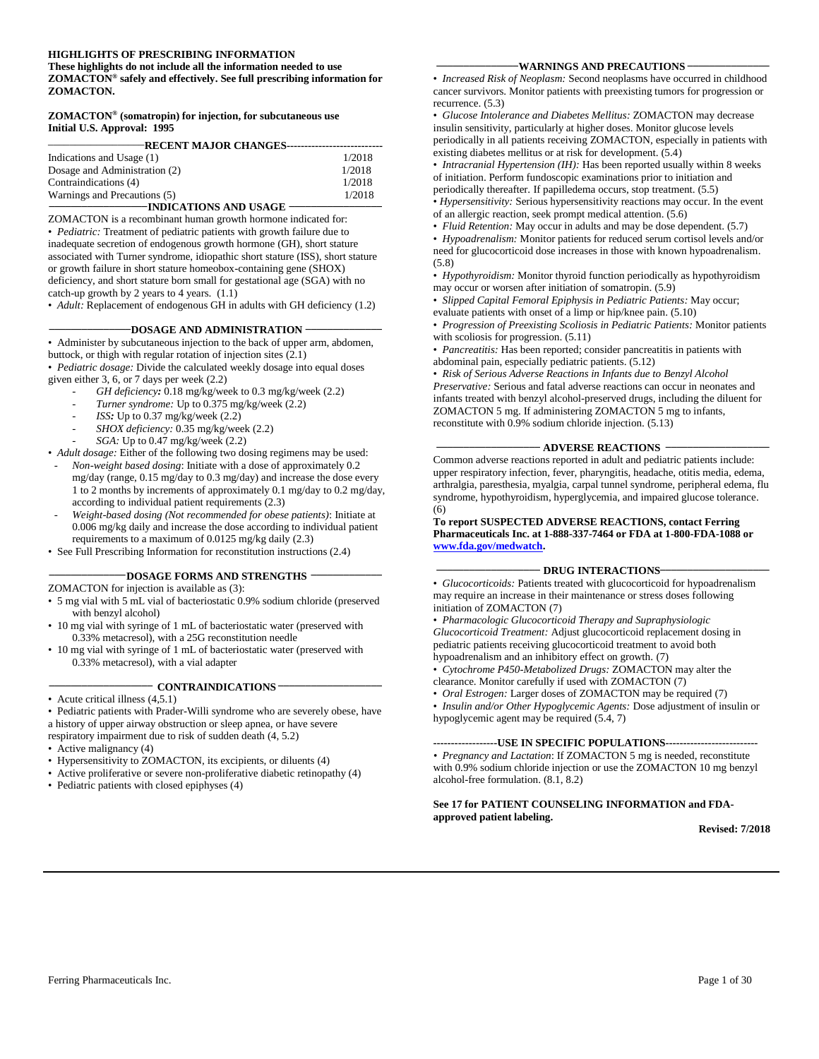#### **HIGHLIGHTS OF PRESCRIBING INFORMATION**

**These highlights do not include all the information needed to use ZOMACTON® safely and effectively. See full prescribing information for ZOMACTON.**

#### **ZOMACTON® (somatropin) for injection, for subcutaneous use Initial U.S. Approval: 1995**

| <b>RECENT MAJOR CHANGES----</b> |        |  |  |
|---------------------------------|--------|--|--|
| Indications and Usage (1)       | 1/2018 |  |  |
|                                 | 1/2018 |  |  |
| Dosage and Administration (2)   |        |  |  |
| Contraindications (4)           | 1/2018 |  |  |
| Warnings and Precautions (5)    | 1/2018 |  |  |
| -INDICATIONS AND USAGE          |        |  |  |

ZOMACTON is a recombinant human growth hormone indicated for: • *Pediatric:* Treatment of pediatric patients with growth failure due to inadequate secretion of endogenous growth hormone (GH), short stature associated with Turner syndrome, idiopathic short stature (ISS), short stature or growth failure in short stature homeobox-containing gene (SHOX) deficiency, and short stature born small for gestational age (SGA) with no catch-up growth by 2 years to 4 years. (1.1) • *Adult:* Replacement of endogenous GH in adults with GH deficiency (1.2)

**\_\_\_\_\_\_\_\_\_\_\_\_\_\_\_DOSAGE AND ADMINISTRATION \_\_\_\_\_\_\_\_\_\_\_\_\_\_**

• Administer by subcutaneous injection to the back of upper arm, abdomen, buttock, or thigh with regular rotation of injection sites (2.1)

• *Pediatric dosage:* Divide the calculated weekly dosage into equal doses given either 3, 6, or 7 days per week (2.2)

- *GH deficiency:* 0.18 mg/kg/week to 0.3 mg/kg/week (2.2)
- Turner syndrome: Up to 0.375 mg/kg/week (2.2)
- *ISS*: Up to 0.37 mg/kg/week (2.2)
- *SHOX deficiency:* 0.35 mg/kg/week (2.2)
- *SGA:* Up to 0.47 mg/kg/week (2.2)

• *Adult dosage:* Either of the following two dosing regimens may be used:

- *Non-weight based dosing*: Initiate with a dose of approximately 0.2 mg/day (range, 0.15 mg/day to 0.3 mg/day) and increase the dose every 1 to 2 months by increments of approximately 0.1 mg/day to 0.2 mg/day, according to individual patient requirements (2.3)
- *Weight-based dosing (Not recommended for obese patients)*: Initiate at 0.006 mg/kg daily and increase the dose according to individual patient requirements to a maximum of 0.0125 mg/kg daily (2.3)
- See Full Prescribing Information for reconstitution instructions (2.4)

# **\_\_\_\_\_\_\_\_\_\_\_\_\_\_DOSAGE FORMS AND STRENGTHS \_\_\_\_\_\_\_\_\_\_\_\_\_**

ZOMACTON for injection is available as (3):

- 5 mg vial with 5 mL vial of bacteriostatic 0.9% sodium chloride (preserved with benzyl alcohol)
- 10 mg vial with syringe of 1 mL of bacteriostatic water (preserved with 0.33% metacresol), with a 25G reconstitution needle
- 10 mg vial with syringe of 1 mL of bacteriostatic water (preserved with 0.33% metacresol), with a vial adapter

#### **\_\_\_\_\_\_\_\_\_\_\_\_\_\_\_\_\_\_\_ CONTRAINDICATIONS \_\_\_\_\_\_\_\_\_\_\_\_\_\_\_\_\_\_\_**

- Acute critical illness (4,5.1)
- Pediatric patients with Prader-Willi syndrome who are severely obese, have a history of upper airway obstruction or sleep apnea, or have severe

respiratory impairment due to risk of sudden death (4, 5.2)

- Active malignancy (4)
- Hypersensitivity to ZOMACTON, its excipients, or diluents (4)
- Active proliferative or severe non-proliferative diabetic retinopathy (4)
- Pediatric patients with closed epiphyses (4)

#### **WARNINGS AND PRECAUTIONS**

• *Increased Risk of Neoplasm:* Second neoplasms have occurred in childhood cancer survivors. Monitor patients with preexisting tumors for progression or recurrence. (5.3)

• *Glucose Intolerance and Diabetes Mellitus:* ZOMACTON may decrease insulin sensitivity, particularly at higher doses. Monitor glucose levels periodically in all patients receiving ZOMACTON, especially in patients with existing diabetes mellitus or at risk for development. (5.4)

• *Intracranial Hypertension (IH):* Has been reported usually within 8 weeks of initiation. Perform fundoscopic examinations prior to initiation and periodically thereafter. If papilledema occurs, stop treatment. (5.5)

• *Hypersensitivity:* Serious hypersensitivity reactions may occur. In the event of an allergic reaction, seek prompt medical attention. (5.6)

• *Fluid Retention:* May occur in adults and may be dose dependent. (5.7)

• *Hypoadrenalism:* Monitor patients for reduced serum cortisol levels and/or need for glucocorticoid dose increases in those with known hypoadrenalism. (5.8)

• *Hypothyroidism:* Monitor thyroid function periodically as hypothyroidism may occur or worsen after initiation of somatropin. (5.9)

• *Slipped Capital Femoral Epiphysis in Pediatric Patients:* May occur; evaluate patients with onset of a limp or hip/knee pain. (5.10)

• *Progression of Preexisting Scoliosis in Pediatric Patients:* Monitor patients with scoliosis for progression. (5.11)

• *Pancreatitis:* Has been reported; consider pancreatitis in patients with abdominal pain, especially pediatric patients. (5.12)

• *Risk of Serious Adverse Reactions in Infants due to Benzyl Alcohol Preservative:* Serious and fatal adverse reactions can occur in neonates and infants treated with benzyl alcohol-preserved drugs, including the diluent for ZOMACTON 5 mg. If administering ZOMACTON 5 mg to infants,

reconstitute with 0.9% sodium chloride injection. (5.13)

#### **\_\_\_\_\_\_\_\_\_\_\_\_\_\_\_\_\_\_\_ ADVERSE REACTIONS \_\_\_\_\_\_\_\_\_\_\_\_\_\_\_\_\_\_\_**

Common adverse reactions reported in adult and pediatric patients include: upper respiratory infection, fever, pharyngitis, headache, otitis media, edema, arthralgia, paresthesia, myalgia, carpal tunnel syndrome, peripheral edema, flu syndrome, hypothyroidism, hyperglycemia, and impaired glucose tolerance. (6)

**To report SUSPECTED ADVERSE REACTIONS, contact Ferring Pharmaceuticals Inc. at 1-888-337-7464 or FDA at 1-800-FDA-1088 or [www.fda.gov/medwatch.](http://www.fda.gov/medwatch)**

#### **DRUG INTERACTIONS**

• *Glucocorticoids:* Patients treated with glucocorticoid for hypoadrenalism may require an increase in their maintenance or stress doses following initiation of ZOMACTON (7)

• *Pharmacologic Glucocorticoid Therapy and Supraphysiologic Glucocorticoid Treatment:* Adjust glucocorticoid replacement dosing in pediatric patients receiving glucocorticoid treatment to avoid both hypoadrenalism and an inhibitory effect on growth. (7)

• *Cytochrome P450-Metabolized Drugs:* ZOMACTON may alter the clearance. Monitor carefully if used with ZOMACTON (7)

• *Oral Estrogen:* Larger doses of ZOMACTON may be required (7) • *Insulin and/or Other Hypoglycemic Agents:* Dose adjustment of insulin or hypoglycemic agent may be required (5.4, 7)

**------------------USE IN SPECIFIC POPULATIONS--------------------------**

*• Pregnancy and Lactation*: If ZOMACTON 5 mg is needed, reconstitute with 0.9% sodium chloride injection or use the ZOMACTON 10 mg benzyl alcohol-free formulation. (8.1, 8.2)

#### **See 17 for PATIENT COUNSELING INFORMATION and FDAapproved patient labeling.**

**Revised: 7/2018**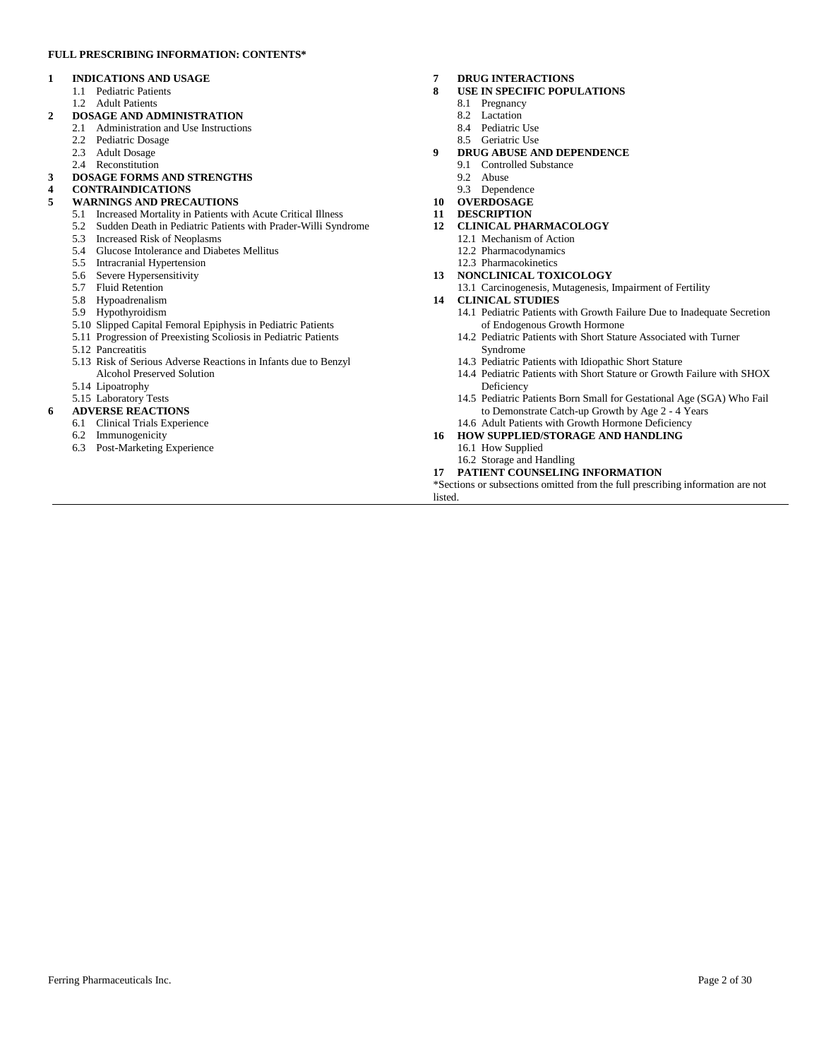#### **FULL PRESCRIBING INFORMATION: CONTENTS\***

#### **1 INDICATIONS AND USAGE**

- 1.1 Pediatric Patients
- 1.2 Adult Patients

#### **2 DOSAGE AND ADMINISTRATION**

- 2.1 Administration and Use Instructions
- 2.2 Pediatric Dosage
- 2.3 Adult Dosage
- 2.4 Reconstitution

### **3 DOSAGE FORMS AND STRENGTHS**

#### **4 CONTRAINDICATIONS**

#### **5 WARNINGS AND PRECAUTIONS**

- 5.1 Increased Mortality in Patients with Acute Critical Illness
- 5.2 Sudden Death in Pediatric Patients with Prader-Willi Syndrome
- 5.3 Increased Risk of Neoplasms
- 5.4 Glucose Intolerance and Diabetes Mellitus
- 5.5 Intracranial Hypertension
- 5.6 Severe Hypersensitivity
- 5.7 Fluid Retention
- 5.8 Hypoadrenalism
- 5.9 Hypothyroidism
- 5.10 Slipped Capital Femoral Epiphysis in Pediatric Patients
- 5.11 Progression of Preexisting Scoliosis in Pediatric Patients

5.12 Pancreatitis

- 5.13 Risk of Serious Adverse Reactions in Infants due to Benzyl
- Alcohol Preserved Solution
- 5.14 Lipoatrophy
- 5.15 Laboratory Tests

#### **6 ADVERSE REACTIONS**

- 6.1 Clinical Trials Experience
- 6.2 Immunogenicity
- 6.3 Post-Marketing Experience

#### **7 DRUG INTERACTIONS**

- **8 USE IN SPECIFIC POPULATIONS**
	- 8.1 Pregnancy
	- 8.2 Lactation
	- 8.4 Pediatric Use
	- 8.5 Geriatric Use
- **9 DRUG ABUSE AND DEPENDENCE**
	- 9.1 Controlled Substance<br>9.2 Abuse
	- Abuse
- 9.3 Dependence
- **10 OVERDOSAGE**
- **11 DESCRIPTION**
- **12 CLINICAL PHARMACOLOGY**
	- 12.1 Mechanism of Action
	- 12.2 Pharmacodynamics
- 12.3 Pharmacokinetics
- **13 NONCLINICAL TOXICOLOGY**
- 13.1 Carcinogenesis, Mutagenesis, Impairment of Fertility
- **14 CLINICAL STUDIES**
	- 14.1 Pediatric Patients with Growth Failure Due to Inadequate Secretion of Endogenous Growth Hormone
	- 14.2 Pediatric Patients with Short Stature Associated with Turner Syndrome
	- 14.3 Pediatric Patients with Idiopathic Short Stature
	- 14.4 Pediatric Patients with Short Stature or Growth Failure with SHOX Deficiency
	- 14.5 Pediatric Patients Born Small for Gestational Age (SGA) Who Fail to Demonstrate Catch-up Growth by Age 2 - 4 Years 14.6 Adult Patients with Growth Hormone Deficiency
- **16 HOW SUPPLIED/STORAGE AND HANDLING**
	- 16.1 How Supplied
	- 16.2 Storage and Handling
- **17 PATIENT COUNSELING INFORMATION**

\*Sections or subsections omitted from the full prescribing information are not listed.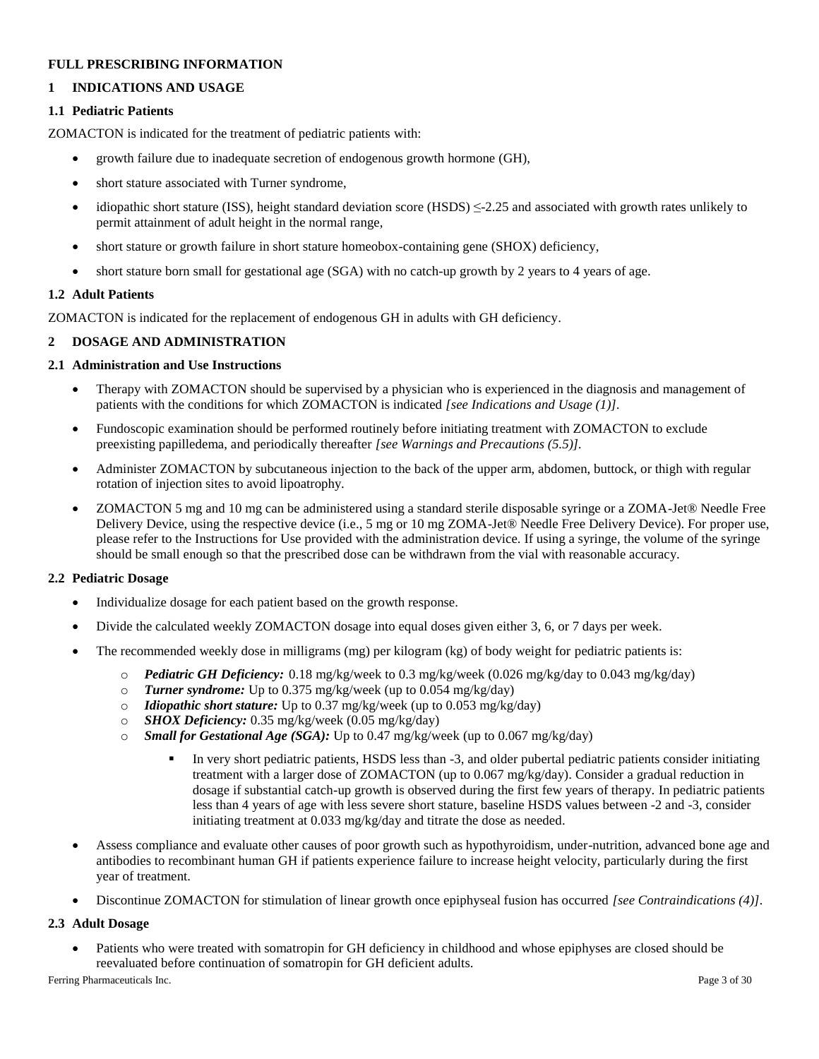### **FULL PRESCRIBING INFORMATION**

## **1 INDICATIONS AND USAGE**

### **1.1 Pediatric Patients**

ZOMACTON is indicated for the treatment of pediatric patients with:

- growth failure due to inadequate secretion of endogenous growth hormone (GH),
- short stature associated with Turner syndrome,
- idiopathic short stature (ISS), height standard deviation score (HSDS)  $\leq$ -2.25 and associated with growth rates unlikely to permit attainment of adult height in the normal range,
- short stature or growth failure in short stature homeobox-containing gene (SHOX) deficiency,
- short stature born small for gestational age (SGA) with no catch-up growth by 2 years to 4 years of age.

## **1.2 Adult Patients**

ZOMACTON is indicated for the replacement of endogenous GH in adults with GH deficiency.

### **2 DOSAGE AND ADMINISTRATION**

### **2.1 Administration and Use Instructions**

- Therapy with ZOMACTON should be supervised by a physician who is experienced in the diagnosis and management of patients with the conditions for which ZOMACTON is indicated *[see Indications and Usage (1)].*
- Fundoscopic examination should be performed routinely before initiating treatment with ZOMACTON to exclude preexisting papilledema, and periodically thereafter *[see Warnings and Precautions (5.5)].*
- Administer ZOMACTON by subcutaneous injection to the back of the upper arm, abdomen, buttock, or thigh with regular rotation of injection sites to avoid lipoatrophy.
- ZOMACTON 5 mg and 10 mg can be administered using a standard sterile disposable syringe or a ZOMA-Jet® Needle Free Delivery Device, using the respective device (i.e., 5 mg or 10 mg ZOMA-Jet® Needle Free Delivery Device). For proper use, please refer to the Instructions for Use provided with the administration device. If using a syringe, the volume of the syringe should be small enough so that the prescribed dose can be withdrawn from the vial with reasonable accuracy.

### **2.2 Pediatric Dosage**

- Individualize dosage for each patient based on the growth response.
- Divide the calculated weekly ZOMACTON dosage into equal doses given either 3, 6, or 7 days per week.
- The recommended weekly dose in milligrams (mg) per kilogram (kg) of body weight for pediatric patients is:
	- o *Pediatric GH Deficiency:* 0.18 mg/kg/week to 0.3 mg/kg/week (0.026 mg/kg/day to 0.043 mg/kg/day)
	- o *Turner syndrome:* Up to 0.375 mg/kg/week (up to 0.054 mg/kg/day)
	- o *Idiopathic short stature:* Up to 0.37 mg/kg/week (up to 0.053 mg/kg/day)
	- o *SHOX Deficiency:* 0.35 mg/kg/week (0.05 mg/kg/day)
	- o *Small for Gestational Age (SGA):* Up to 0.47 mg/kg/week (up to 0.067 mg/kg/day)
		- In very short pediatric patients, HSDS less than -3, and older pubertal pediatric patients consider initiating treatment with a larger dose of ZOMACTON (up to 0.067 mg/kg/day). Consider a gradual reduction in dosage if substantial catch-up growth is observed during the first few years of therapy. In pediatric patients less than 4 years of age with less severe short stature, baseline HSDS values between -2 and -3, consider initiating treatment at 0.033 mg/kg/day and titrate the dose as needed.
- Assess compliance and evaluate other causes of poor growth such as hypothyroidism, under-nutrition, advanced bone age and antibodies to recombinant human GH if patients experience failure to increase height velocity, particularly during the first year of treatment.
- Discontinue ZOMACTON for stimulation of linear growth once epiphyseal fusion has occurred *[see Contraindications (4)].*

### **2.3 Adult Dosage**

 Patients who were treated with somatropin for GH deficiency in childhood and whose epiphyses are closed should be reevaluated before continuation of somatropin for GH deficient adults.

Ferring Pharmaceuticals Inc. Page 3 of 30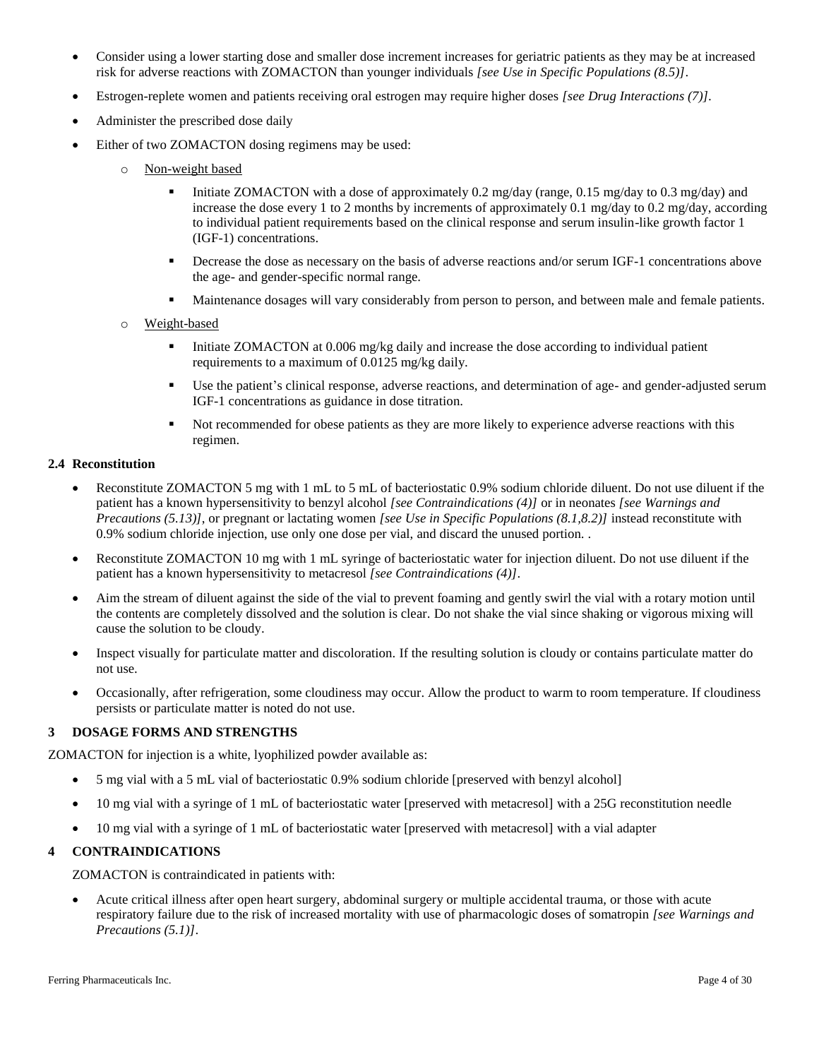- Consider using a lower starting dose and smaller dose increment increases for geriatric patients as they may be at increased risk for adverse reactions with ZOMACTON than younger individuals *[see Use in Specific Populations (8.5)]*.
- Estrogen-replete women and patients receiving oral estrogen may require higher doses *[see Drug Interactions (7)].*
- Administer the prescribed dose daily
- Either of two ZOMACTON dosing regimens may be used:
	- o Non-weight based
		- Initiate ZOMACTON with a dose of approximately 0.2 mg/day (range, 0.15 mg/day to 0.3 mg/day) and increase the dose every 1 to 2 months by increments of approximately 0.1 mg/day to 0.2 mg/day, according to individual patient requirements based on the clinical response and serum insulin-like growth factor 1 (IGF-1) concentrations.
		- Decrease the dose as necessary on the basis of adverse reactions and/or serum IGF-1 concentrations above the age- and gender-specific normal range.
		- Maintenance dosages will vary considerably from person to person, and between male and female patients.
	- o Weight-based
		- Initiate ZOMACTON at 0.006 mg/kg daily and increase the dose according to individual patient requirements to a maximum of 0.0125 mg/kg daily.
		- Use the patient's clinical response, adverse reactions, and determination of age- and gender-adjusted serum IGF-1 concentrations as guidance in dose titration.
		- Not recommended for obese patients as they are more likely to experience adverse reactions with this regimen.

### **2.4 Reconstitution**

- Reconstitute ZOMACTON 5 mg with 1 mL to 5 mL of bacteriostatic 0.9% sodium chloride diluent. Do not use diluent if the patient has a known hypersensitivity to benzyl alcohol *[see Contraindications (4)]* or in neonates *[see Warnings and Precautions (5.13)]*, or pregnant or lactating women *[see Use in Specific Populations (8.1,8.2)]* instead reconstitute with 0.9% sodium chloride injection, use only one dose per vial, and discard the unused portion. .
- Reconstitute ZOMACTON 10 mg with 1 mL syringe of bacteriostatic water for injection diluent. Do not use diluent if the patient has a known hypersensitivity to metacresol *[see Contraindications (4)]*.
- Aim the stream of diluent against the side of the vial to prevent foaming and gently swirl the vial with a rotary motion until the contents are completely dissolved and the solution is clear. Do not shake the vial since shaking or vigorous mixing will cause the solution to be cloudy.
- Inspect visually for particulate matter and discoloration. If the resulting solution is cloudy or contains particulate matter do not use.
- Occasionally, after refrigeration, some cloudiness may occur. Allow the product to warm to room temperature. If cloudiness persists or particulate matter is noted do not use.

### **3 DOSAGE FORMS AND STRENGTHS**

ZOMACTON for injection is a white, lyophilized powder available as:

- 5 mg vial with a 5 mL vial of bacteriostatic 0.9% sodium chloride [preserved with benzyl alcohol]
- 10 mg vial with a syringe of 1 mL of bacteriostatic water [preserved with metacresol] with a 25G reconstitution needle
- 10 mg vial with a syringe of 1 mL of bacteriostatic water [preserved with metacresol] with a vial adapter

### **4 CONTRAINDICATIONS**

ZOMACTON is contraindicated in patients with:

 Acute critical illness after open heart surgery, abdominal surgery or multiple accidental trauma, or those with acute respiratory failure due to the risk of increased mortality with use of pharmacologic doses of somatropin *[see Warnings and Precautions (5.1)]*.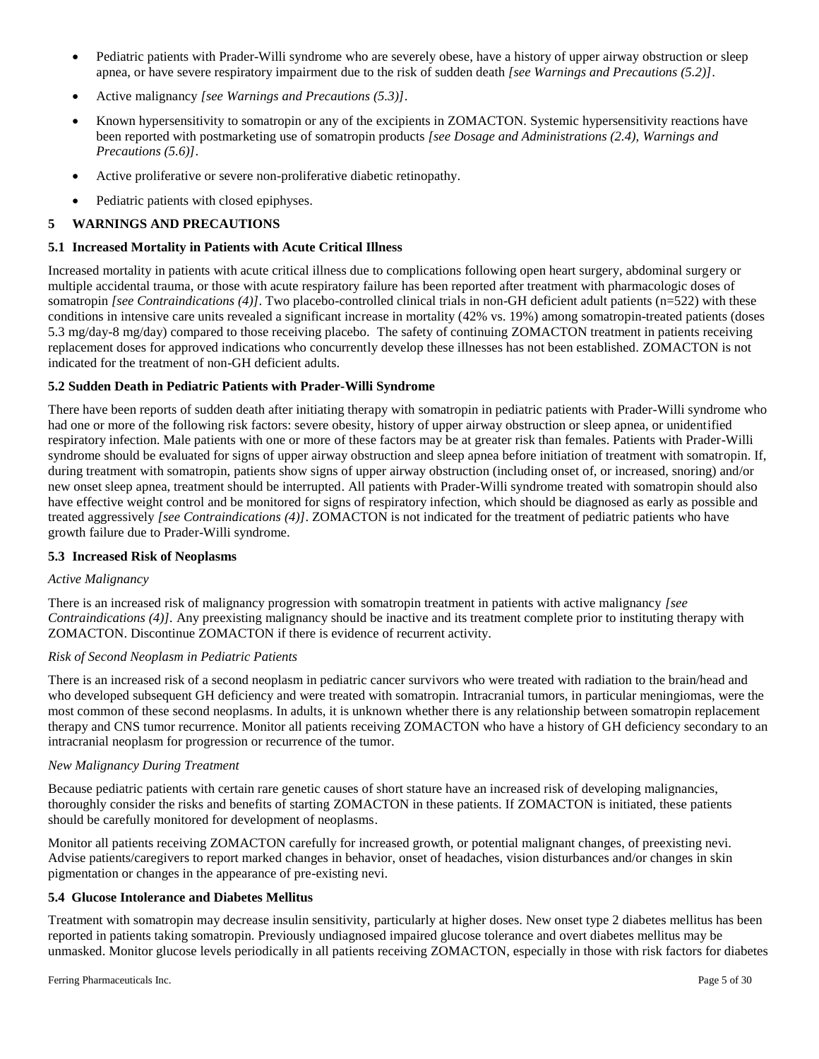- Pediatric patients with Prader-Willi syndrome who are severely obese, have a history of upper airway obstruction or sleep apnea, or have severe respiratory impairment due to the risk of sudden death *[see Warnings and Precautions (5.2)]*.
- Active malignancy *[see Warnings and Precautions (5.3)]*.
- Known hypersensitivity to somatropin or any of the excipients in ZOMACTON. Systemic hypersensitivity reactions have been reported with postmarketing use of somatropin products *[see Dosage and Administrations (2.4), Warnings and Precautions (5.6)]*.
- Active proliferative or severe non-proliferative diabetic retinopathy.
- Pediatric patients with closed epiphyses.

## **5 WARNINGS AND PRECAUTIONS**

### **5.1 Increased Mortality in Patients with Acute Critical Illness**

Increased mortality in patients with acute critical illness due to complications following open heart surgery, abdominal surgery or multiple accidental trauma, or those with acute respiratory failure has been reported after treatment with pharmacologic doses of somatropin *[see Contraindications (4)]*. Two placebo-controlled clinical trials in non-GH deficient adult patients (n=522) with these conditions in intensive care units revealed a significant increase in mortality (42% vs. 19%) among somatropin-treated patients (doses 5.3 mg/day-8 mg/day) compared to those receiving placebo. The safety of continuing ZOMACTON treatment in patients receiving replacement doses for approved indications who concurrently develop these illnesses has not been established. ZOMACTON is not indicated for the treatment of non-GH deficient adults.

### **5.2 Sudden Death in Pediatric Patients with Prader-Willi Syndrome**

There have been reports of sudden death after initiating therapy with somatropin in pediatric patients with Prader-Willi syndrome who had one or more of the following risk factors: severe obesity, history of upper airway obstruction or sleep apnea, or unidentified respiratory infection. Male patients with one or more of these factors may be at greater risk than females. Patients with Prader-Willi syndrome should be evaluated for signs of upper airway obstruction and sleep apnea before initiation of treatment with somatropin. If, during treatment with somatropin, patients show signs of upper airway obstruction (including onset of, or increased, snoring) and/or new onset sleep apnea, treatment should be interrupted. All patients with Prader-Willi syndrome treated with somatropin should also have effective weight control and be monitored for signs of respiratory infection, which should be diagnosed as early as possible and treated aggressively *[see Contraindications (4)]*. ZOMACTON is not indicated for the treatment of pediatric patients who have growth failure due to Prader-Willi syndrome.

### **5.3 Increased Risk of Neoplasms**

### *Active Malignancy*

There is an increased risk of malignancy progression with somatropin treatment in patients with active malignancy *[see Contraindications (4)].* Any preexisting malignancy should be inactive and its treatment complete prior to instituting therapy with ZOMACTON. Discontinue ZOMACTON if there is evidence of recurrent activity.

### *Risk of Second Neoplasm in Pediatric Patients*

There is an increased risk of a second neoplasm in pediatric cancer survivors who were treated with radiation to the brain/head and who developed subsequent GH deficiency and were treated with somatropin. Intracranial tumors, in particular meningiomas, were the most common of these second neoplasms. In adults, it is unknown whether there is any relationship between somatropin replacement therapy and CNS tumor recurrence. Monitor all patients receiving ZOMACTON who have a history of GH deficiency secondary to an intracranial neoplasm for progression or recurrence of the tumor.

### *New Malignancy During Treatment*

Because pediatric patients with certain rare genetic causes of short stature have an increased risk of developing malignancies, thoroughly consider the risks and benefits of starting ZOMACTON in these patients. If ZOMACTON is initiated, these patients should be carefully monitored for development of neoplasms.

Monitor all patients receiving ZOMACTON carefully for increased growth, or potential malignant changes, of preexisting nevi. Advise patients/caregivers to report marked changes in behavior, onset of headaches, vision disturbances and/or changes in skin pigmentation or changes in the appearance of pre-existing nevi.

### **5.4 Glucose Intolerance and Diabetes Mellitus**

Treatment with somatropin may decrease insulin sensitivity, particularly at higher doses. New onset type 2 diabetes mellitus has been reported in patients taking somatropin. Previously undiagnosed impaired glucose tolerance and overt diabetes mellitus may be unmasked. Monitor glucose levels periodically in all patients receiving ZOMACTON, especially in those with risk factors for diabetes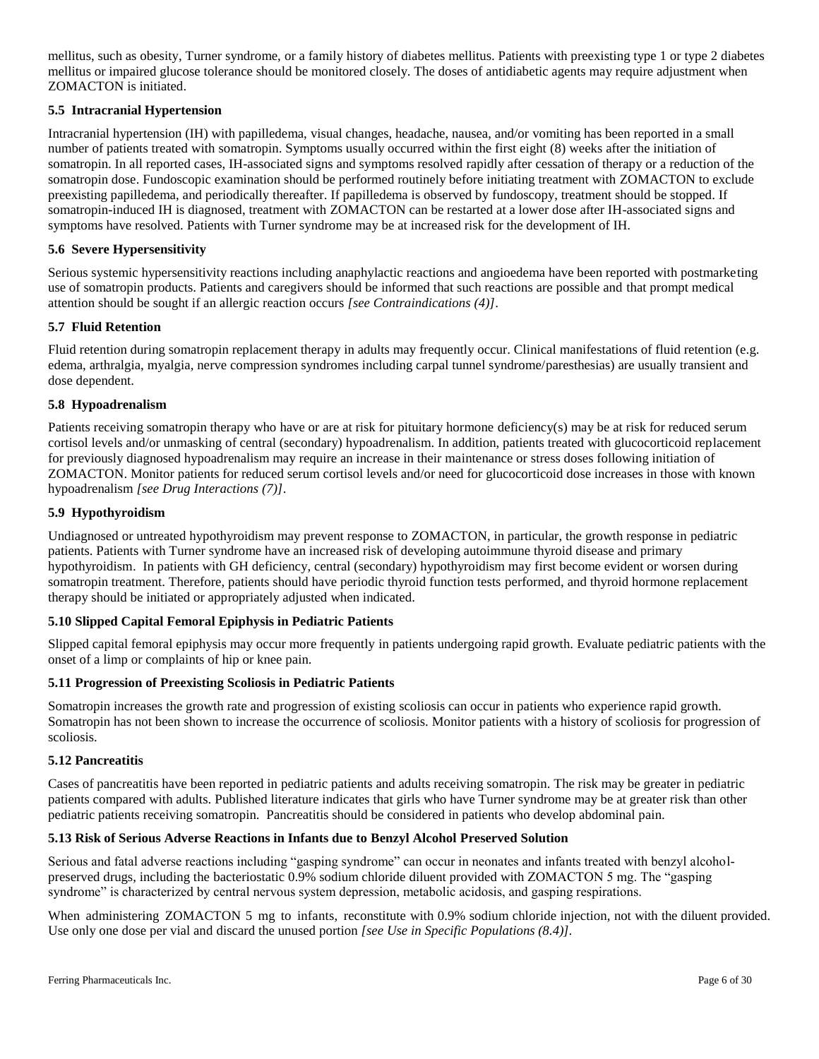mellitus, such as obesity, Turner syndrome, or a family history of diabetes mellitus. Patients with preexisting type 1 or type 2 diabetes mellitus or impaired glucose tolerance should be monitored closely. The doses of antidiabetic agents may require adjustment when ZOMACTON is initiated.

### **5.5 Intracranial Hypertension**

Intracranial hypertension (IH) with papilledema, visual changes, headache, nausea, and/or vomiting has been reported in a small number of patients treated with somatropin. Symptoms usually occurred within the first eight (8) weeks after the initiation of somatropin. In all reported cases, IH-associated signs and symptoms resolved rapidly after cessation of therapy or a reduction of the somatropin dose. Fundoscopic examination should be performed routinely before initiating treatment with ZOMACTON to exclude preexisting papilledema, and periodically thereafter. If papilledema is observed by fundoscopy, treatment should be stopped. If somatropin-induced IH is diagnosed, treatment with ZOMACTON can be restarted at a lower dose after IH-associated signs and symptoms have resolved. Patients with Turner syndrome may be at increased risk for the development of IH.

### **5.6 Severe Hypersensitivity**

Serious systemic hypersensitivity reactions including anaphylactic reactions and angioedema have been reported with postmarketing use of somatropin products. Patients and caregivers should be informed that such reactions are possible and that prompt medical attention should be sought if an allergic reaction occurs *[see Contraindications (4)]*.

### **5.7 Fluid Retention**

Fluid retention during somatropin replacement therapy in adults may frequently occur. Clinical manifestations of fluid retention (e.g. edema, arthralgia, myalgia, nerve compression syndromes including carpal tunnel syndrome/paresthesias) are usually transient and dose dependent.

### **5.8 Hypoadrenalism**

Patients receiving somatropin therapy who have or are at risk for pituitary hormone deficiency(s) may be at risk for reduced serum cortisol levels and/or unmasking of central (secondary) hypoadrenalism. In addition, patients treated with glucocorticoid replacement for previously diagnosed hypoadrenalism may require an increase in their maintenance or stress doses following initiation of ZOMACTON. Monitor patients for reduced serum cortisol levels and/or need for glucocorticoid dose increases in those with known hypoadrenalism *[see Drug Interactions (7)]*.

### **5.9 Hypothyroidism**

Undiagnosed or untreated hypothyroidism may prevent response to ZOMACTON, in particular, the growth response in pediatric patients. Patients with Turner syndrome have an increased risk of developing autoimmune thyroid disease and primary hypothyroidism. In patients with GH deficiency, central (secondary) hypothyroidism may first become evident or worsen during somatropin treatment. Therefore, patients should have periodic thyroid function tests performed, and thyroid hormone replacement therapy should be initiated or appropriately adjusted when indicated.

### **5.10 Slipped Capital Femoral Epiphysis in Pediatric Patients**

Slipped capital femoral epiphysis may occur more frequently in patients undergoing rapid growth. Evaluate pediatric patients with the onset of a limp or complaints of hip or knee pain.

### **5.11 Progression of Preexisting Scoliosis in Pediatric Patients**

Somatropin increases the growth rate and progression of existing scoliosis can occur in patients who experience rapid growth. Somatropin has not been shown to increase the occurrence of scoliosis. Monitor patients with a history of scoliosis for progression of scoliosis.

### **5.12 Pancreatitis**

Cases of pancreatitis have been reported in pediatric patients and adults receiving somatropin. The risk may be greater in pediatric patients compared with adults. Published literature indicates that girls who have Turner syndrome may be at greater risk than other pediatric patients receiving somatropin. Pancreatitis should be considered in patients who develop abdominal pain.

### **5.13 Risk of Serious Adverse Reactions in Infants due to Benzyl Alcohol Preserved Solution**

Serious and fatal adverse reactions including "gasping syndrome" can occur in neonates and infants treated with benzyl alcoholpreserved drugs, including the bacteriostatic 0.9% sodium chloride diluent provided with ZOMACTON 5 mg. The "gasping syndrome" is characterized by central nervous system depression, metabolic acidosis, and gasping respirations.

When administering ZOMACTON 5 mg to infants, reconstitute with 0.9% sodium chloride injection, not with the diluent provided. Use only one dose per vial and discard the unused portion *[see Use in Specific Populations (8.4)].*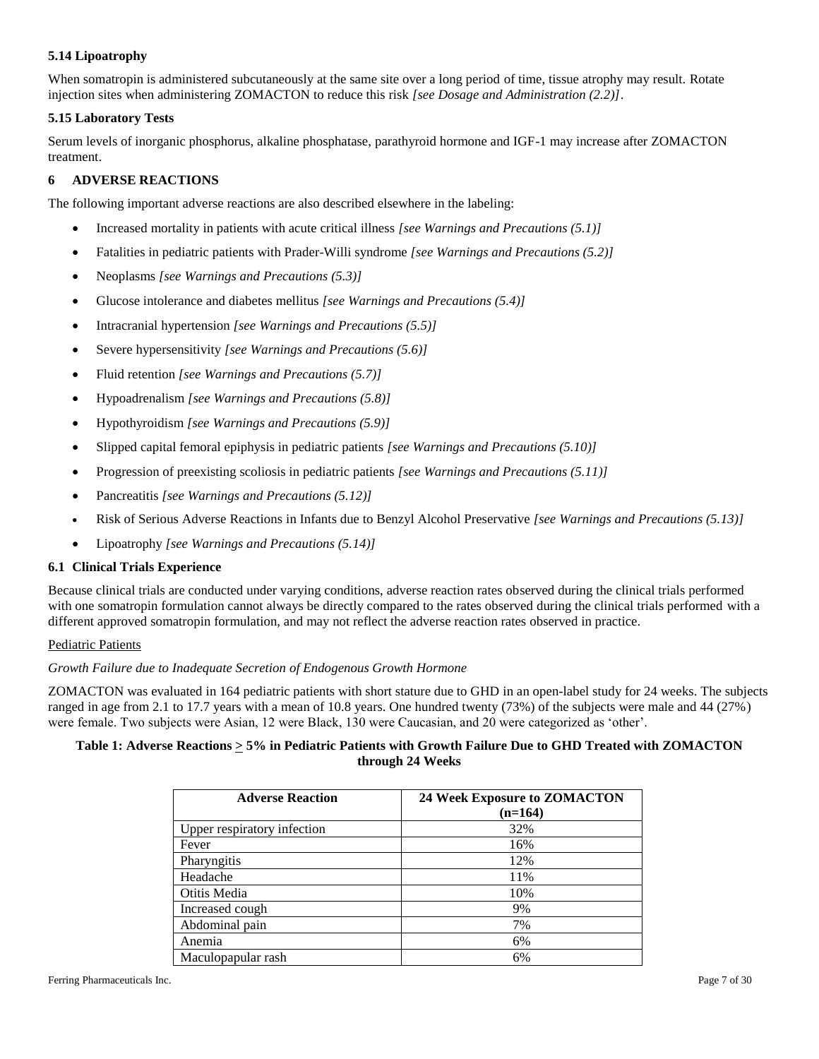## **5.14 Lipoatrophy**

When somatropin is administered subcutaneously at the same site over a long period of time, tissue atrophy may result. Rotate injection sites when administering ZOMACTON to reduce this risk *[see Dosage and Administration (2.2)]*.

### **5.15 Laboratory Tests**

Serum levels of inorganic phosphorus, alkaline phosphatase, parathyroid hormone and IGF-1 may increase after ZOMACTON treatment.

### **6 ADVERSE REACTIONS**

The following important adverse reactions are also described elsewhere in the labeling:

- Increased mortality in patients with acute critical illness *[see Warnings and Precautions (5.1)]*
- Fatalities in pediatric patients with Prader-Willi syndrome *[see Warnings and Precautions (5.2)]*
- Neoplasms *[see Warnings and Precautions (5.3)]*
- Glucose intolerance and diabetes mellitus *[see Warnings and Precautions (5.4)]*
- Intracranial hypertension *[see Warnings and Precautions (5.5)]*
- Severe hypersensitivity *[see Warnings and Precautions (5.6)]*
- Fluid retention *[see Warnings and Precautions (5.7)]*
- Hypoadrenalism *[see Warnings and Precautions (5.8)]*
- Hypothyroidism *[see Warnings and Precautions (5.9)]*
- Slipped capital femoral epiphysis in pediatric patients *[see Warnings and Precautions (5.10)]*
- Progression of preexisting scoliosis in pediatric patients *[see Warnings and Precautions (5.11)]*
- Pancreatitis *[see Warnings and Precautions (5.12)]*
- Risk of Serious Adverse Reactions in Infants due to Benzyl Alcohol Preservative *[see Warnings and Precautions (5.13)]*
- Lipoatrophy *[see Warnings and Precautions (5.14)]*

### **6.1 Clinical Trials Experience**

Because clinical trials are conducted under varying conditions, adverse reaction rates observed during the clinical trials performed with one somatropin formulation cannot always be directly compared to the rates observed during the clinical trials performed with a different approved somatropin formulation, and may not reflect the adverse reaction rates observed in practice.

### Pediatric Patients

### *Growth Failure due to Inadequate Secretion of Endogenous Growth Hormone*

ZOMACTON was evaluated in 164 pediatric patients with short stature due to GHD in an open-label study for 24 weeks. The subjects ranged in age from 2.1 to 17.7 years with a mean of 10.8 years. One hundred twenty (73%) of the subjects were male and 44 (27%) were female. Two subjects were Asian, 12 were Black, 130 were Caucasian, and 20 were categorized as 'other'.

### **Table 1: Adverse Reactions > 5% in Pediatric Patients with Growth Failure Due to GHD Treated with ZOMACTON through 24 Weeks**

| <b>Adverse Reaction</b>     | 24 Week Exposure to ZOMACTON<br>$(n=164)$ |
|-----------------------------|-------------------------------------------|
| Upper respiratory infection | 32%                                       |
| Fever                       | 16%                                       |
| Pharyngitis                 | 12%                                       |
| Headache                    | 11%                                       |
| Otitis Media                | 10%                                       |
| Increased cough             | 9%                                        |
| Abdominal pain              | 7%                                        |
| Anemia                      | 6%                                        |
| Maculopapular rash          | 6%                                        |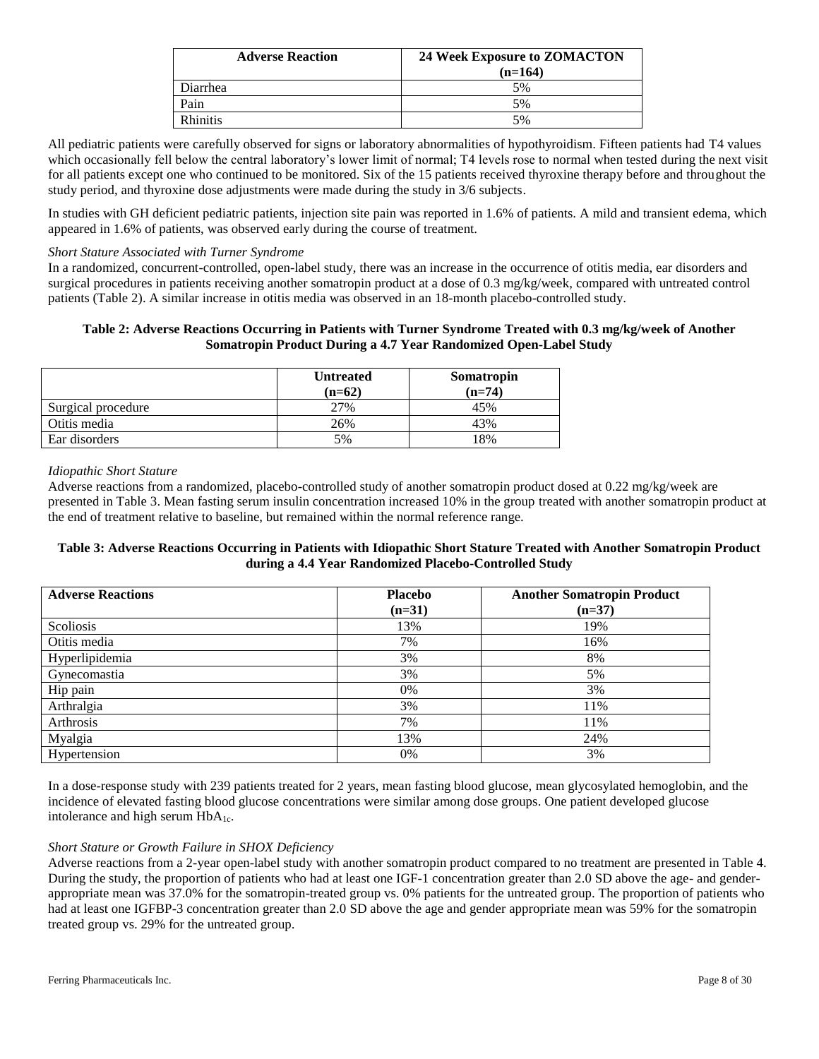| <b>Adverse Reaction</b> | 24 Week Exposure to ZOMACTON<br>$(n=164)$ |
|-------------------------|-------------------------------------------|
| Diarrhea                | 5%                                        |
| Pain                    | 5%                                        |
| <b>Rhinitis</b>         | 5%                                        |

All pediatric patients were carefully observed for signs or laboratory abnormalities of hypothyroidism. Fifteen patients had T4 values which occasionally fell below the central laboratory's lower limit of normal; T4 levels rose to normal when tested during the next visit for all patients except one who continued to be monitored. Six of the 15 patients received thyroxine therapy before and throughout the study period, and thyroxine dose adjustments were made during the study in 3/6 subjects.

In studies with GH deficient pediatric patients, injection site pain was reported in 1.6% of patients. A mild and transient edema, which appeared in 1.6% of patients, was observed early during the course of treatment.

### *Short Stature Associated with Turner Syndrome*

In a randomized, concurrent-controlled, open-label study, there was an increase in the occurrence of otitis media, ear disorders and surgical procedures in patients receiving another somatropin product at a dose of 0.3 mg/kg/week, compared with untreated control patients (Table 2). A similar increase in otitis media was observed in an 18-month placebo-controlled study.

### **Table 2: Adverse Reactions Occurring in Patients with Turner Syndrome Treated with 0.3 mg/kg/week of Another Somatropin Product During a 4.7 Year Randomized Open-Label Study**

|                    | <b>Untreated</b><br>$(n=62)$ | Somatropin<br>$(n=74)$ |
|--------------------|------------------------------|------------------------|
| Surgical procedure | 27%                          | 45%                    |
| Otitis media       | 26%                          | 43%                    |
| Ear disorders      | 5%                           | 18%                    |

### *Idiopathic Short Stature*

Adverse reactions from a randomized, placebo-controlled study of another somatropin product dosed at 0.22 mg/kg/week are presented in Table 3. Mean fasting serum insulin concentration increased 10% in the group treated with another somatropin product at the end of treatment relative to baseline, but remained within the normal reference range.

### **Table 3: Adverse Reactions Occurring in Patients with Idiopathic Short Stature Treated with Another Somatropin Product during a 4.4 Year Randomized Placebo-Controlled Study**

| <b>Adverse Reactions</b> | <b>Placebo</b> | <b>Another Somatropin Product</b> |
|--------------------------|----------------|-----------------------------------|
|                          | $(n=31)$       | $(n=37)$                          |
| Scoliosis                | 13%            | 19%                               |
| Otitis media             | 7%             | 16%                               |
| Hyperlipidemia           | 3%             | 8%                                |
| Gynecomastia             | 3%             | 5%                                |
| Hip pain                 | 0%             | 3%                                |
| Arthralgia               | 3%             | 11%                               |
| Arthrosis                | 7%             | 11%                               |
| Myalgia                  | 13%            | 24%                               |
| Hypertension             | 0%             | 3%                                |

In a dose-response study with 239 patients treated for 2 years, mean fasting blood glucose, mean glycosylated hemoglobin, and the incidence of elevated fasting blood glucose concentrations were similar among dose groups. One patient developed glucose intolerance and high serum HbA<sub>1c</sub>.

### *Short Stature or Growth Failure in SHOX Deficiency*

Adverse reactions from a 2-year open-label study with another somatropin product compared to no treatment are presented in Table 4. During the study, the proportion of patients who had at least one IGF-1 concentration greater than 2.0 SD above the age- and genderappropriate mean was 37.0% for the somatropin-treated group vs. 0% patients for the untreated group. The proportion of patients who had at least one IGFBP-3 concentration greater than 2.0 SD above the age and gender appropriate mean was 59% for the somatropin treated group vs. 29% for the untreated group.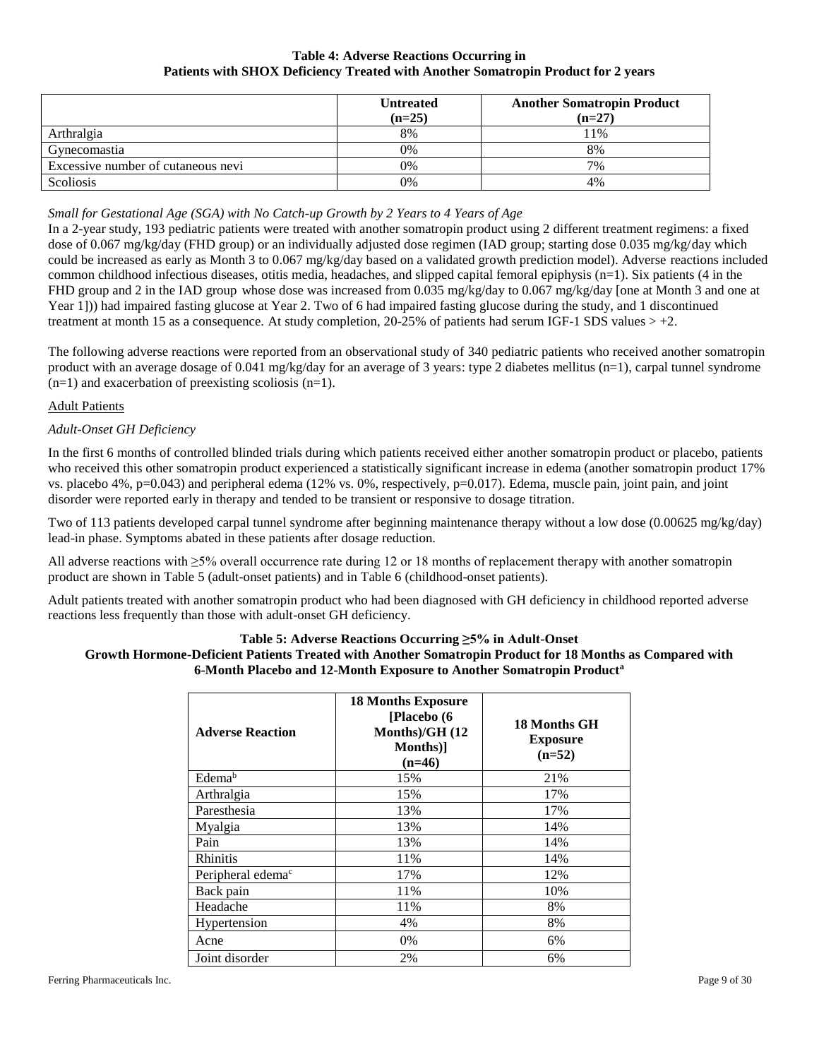### **Table 4: Adverse Reactions Occurring in Patients with SHOX Deficiency Treated with Another Somatropin Product for 2 years**

|                                    | <b>Untreated</b><br>$(n=25)$ | <b>Another Somatropin Product</b><br>$(n=27)$ |
|------------------------------------|------------------------------|-----------------------------------------------|
| Arthralgia                         | 8%                           | 11%                                           |
| Gynecomastia                       | 0%                           | 8%                                            |
| Excessive number of cutaneous nevi | $0\%$                        | 7%                                            |
| Scoliosis                          | 0%                           | 4%                                            |

## *Small for Gestational Age (SGA) with No Catch-up Growth by 2 Years to 4 Years of Age*

In a 2-year study, 193 pediatric patients were treated with another somatropin product using 2 different treatment regimens: a fixed dose of 0.067 mg/kg/day (FHD group) or an individually adjusted dose regimen (IAD group; starting dose 0.035 mg/kg/day which could be increased as early as Month 3 to 0.067 mg/kg/day based on a validated growth prediction model). Adverse reactions included common childhood infectious diseases, otitis media, headaches, and slipped capital femoral epiphysis  $(n=1)$ . Six patients  $(4 \text{ in the})$ FHD group and 2 in the IAD group whose dose was increased from 0.035 mg/kg/day to 0.067 mg/kg/day [one at Month 3 and one at Year 1])) had impaired fasting glucose at Year 2. Two of 6 had impaired fasting glucose during the study, and 1 discontinued treatment at month 15 as a consequence. At study completion, 20-25% of patients had serum IGF-1 SDS values  $> +2$ .

The following adverse reactions were reported from an observational study of 340 pediatric patients who received another somatropin product with an average dosage of 0.041 mg/kg/day for an average of 3 years: type 2 diabetes mellitus ( $n=1$ ), carpal tunnel syndrome  $(n=1)$  and exacerbation of preexisting scoliosis  $(n=1)$ .

### Adult Patients

### *Adult-Onset GH Deficiency*

In the first 6 months of controlled blinded trials during which patients received either another somatropin product or placebo, patients who received this other somatropin product experienced a statistically significant increase in edema (another somatropin product 17%) vs. placebo 4%,  $p=0.043$ ) and peripheral edema (12% vs. 0%, respectively,  $p=0.017$ ). Edema, muscle pain, joint pain, and joint disorder were reported early in therapy and tended to be transient or responsive to dosage titration.

Two of 113 patients developed carpal tunnel syndrome after beginning maintenance therapy without a low dose (0.00625 mg/kg/day) lead-in phase. Symptoms abated in these patients after dosage reduction.

All adverse reactions with ≥5% overall occurrence rate during 12 or 18 months of replacement therapy with another somatropin product are shown in Table 5 (adult-onset patients) and in Table 6 (childhood-onset patients).

Adult patients treated with another somatropin product who had been diagnosed with GH deficiency in childhood reported adverse reactions less frequently than those with adult-onset GH deficiency.

### **Table 5: Adverse Reactions Occurring ≥5% in Adult-Onset Growth Hormone-Deficient Patients Treated with Another Somatropin Product for 18 Months as Compared with 6-Month Placebo and 12-Month Exposure to Another Somatropin Product<sup>a</sup>**

| <b>Adverse Reaction</b>       | <b>18 Months Exposure</b><br>[Placebo (6<br>Months)/GH (12<br>Months)<br>$(n=46)$ | 18 Months GH<br><b>Exposure</b><br>$(n=52)$ |  |  |
|-------------------------------|-----------------------------------------------------------------------------------|---------------------------------------------|--|--|
| Edema <sup>b</sup>            | 15%                                                                               | 21%                                         |  |  |
| Arthralgia                    | 15%                                                                               | 17%                                         |  |  |
| Paresthesia                   | 13%                                                                               | 17%                                         |  |  |
| Myalgia                       | 13%                                                                               | 14%                                         |  |  |
| Pain                          | 13%                                                                               | 14%                                         |  |  |
| <b>Rhinitis</b>               | 11%                                                                               | 14%                                         |  |  |
| Peripheral edema <sup>c</sup> | 17%                                                                               | 12%                                         |  |  |
| Back pain                     | 11%                                                                               | 10%                                         |  |  |
| Headache                      | 11%                                                                               | 8%                                          |  |  |
| Hypertension                  | 4%                                                                                | 8%                                          |  |  |
| Acne                          | 0%                                                                                | 6%                                          |  |  |
| Joint disorder                | 2%                                                                                | 6%                                          |  |  |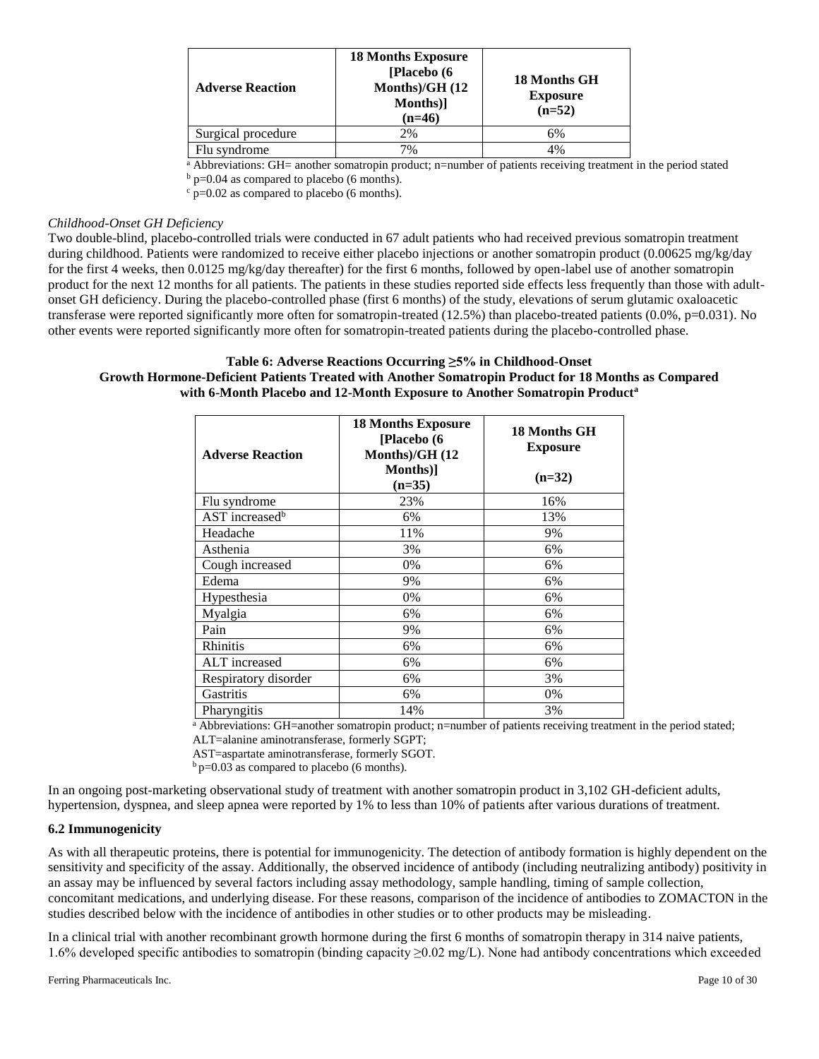| <b>Adverse Reaction</b> | <b>18 Months Exposure</b><br>[Placebo (6<br>Months)/GH $(12)$<br>Months)]<br>$(n=46)$ | 18 Months GH<br><b>Exposure</b><br>$(n=52)$ |
|-------------------------|---------------------------------------------------------------------------------------|---------------------------------------------|
| Surgical procedure      | 2%                                                                                    | 6%                                          |
| Flu syndrome            | 7%                                                                                    | 4%                                          |

<sup>a</sup> Abbreviations: GH= another somatropin product; n=number of patients receiving treatment in the period stated  $<sup>b</sup>$  p=0.04 as compared to placebo (6 months).</sup>

 $\frac{c}{c}$  p=0.02 as compared to placebo (6 months).

#### *Childhood-Onset GH Deficiency*

Two double-blind, placebo-controlled trials were conducted in 67 adult patients who had received previous somatropin treatment during childhood. Patients were randomized to receive either placebo injections or another somatropin product (0.00625 mg/kg/day for the first 4 weeks, then 0.0125 mg/kg/day thereafter) for the first 6 months, followed by open-label use of another somatropin product for the next 12 months for all patients. The patients in these studies reported side effects less frequently than those with adultonset GH deficiency. During the placebo-controlled phase (first 6 months) of the study, elevations of serum glutamic oxaloacetic transferase were reported significantly more often for somatropin-treated (12.5%) than placebo-treated patients (0.0%, p=0.031). No other events were reported significantly more often for somatropin-treated patients during the placebo-controlled phase.

### **Table 6: Adverse Reactions Occurring ≥5% in Childhood-Onset Growth Hormone-Deficient Patients Treated with Another Somatropin Product for 18 Months as Compared with 6-Month Placebo and 12-Month Exposure to Another Somatropin Product<sup>a</sup>**

| <b>Adverse Reaction</b>    | <b>18 Months Exposure</b><br>[Placebo (6<br>Months)/GH (12 | 18 Months GH<br><b>Exposure</b> |  |  |
|----------------------------|------------------------------------------------------------|---------------------------------|--|--|
|                            | Months)<br>$(n=35)$                                        | $(n=32)$                        |  |  |
| Flu syndrome               | 23%                                                        | 16%                             |  |  |
| AST increased <sup>b</sup> | 6%                                                         | 13%                             |  |  |
| Headache                   | 11%                                                        | 9%                              |  |  |
| Asthenia                   | 3%                                                         | 6%                              |  |  |
| Cough increased            | 0%                                                         | 6%                              |  |  |
| Edema                      | 9%                                                         | 6%                              |  |  |
| Hypesthesia                | 0%                                                         | 6%                              |  |  |
| Myalgia                    | 6%                                                         | 6%                              |  |  |
| Pain                       | 9%                                                         | 6%                              |  |  |
| <b>Rhinitis</b>            | 6%                                                         | 6%                              |  |  |
| ALT increased              | 6%                                                         | 6%                              |  |  |
| Respiratory disorder       | 6%                                                         | 3%                              |  |  |
| Gastritis                  | 6%                                                         | 0%                              |  |  |
| Pharyngitis                | 14%                                                        | 3%                              |  |  |

<sup>a</sup> Abbreviations: GH=another somatropin product; n=number of patients receiving treatment in the period stated; ALT=alanine aminotransferase, formerly SGPT;

AST=aspartate aminotransferase, formerly SGOT.

 $b$  p=0.03 as compared to placebo (6 months).

In an ongoing post-marketing observational study of treatment with another somatropin product in 3,102 GH-deficient adults, hypertension, dyspnea, and sleep apnea were reported by 1% to less than 10% of patients after various durations of treatment.

### **6.2 Immunogenicity**

As with all therapeutic proteins, there is potential for immunogenicity. The detection of antibody formation is highly dependent on the sensitivity and specificity of the assay. Additionally, the observed incidence of antibody (including neutralizing antibody) positivity in an assay may be influenced by several factors including assay methodology, sample handling, timing of sample collection, concomitant medications, and underlying disease. For these reasons, comparison of the incidence of antibodies to ZOMACTON in the studies described below with the incidence of antibodies in other studies or to other products may be misleading.

In a clinical trial with another recombinant growth hormone during the first 6 months of somatropin therapy in 314 naive patients, 1.6% developed specific antibodies to somatropin (binding capacity ≥0.02 mg/L). None had antibody concentrations which exceeded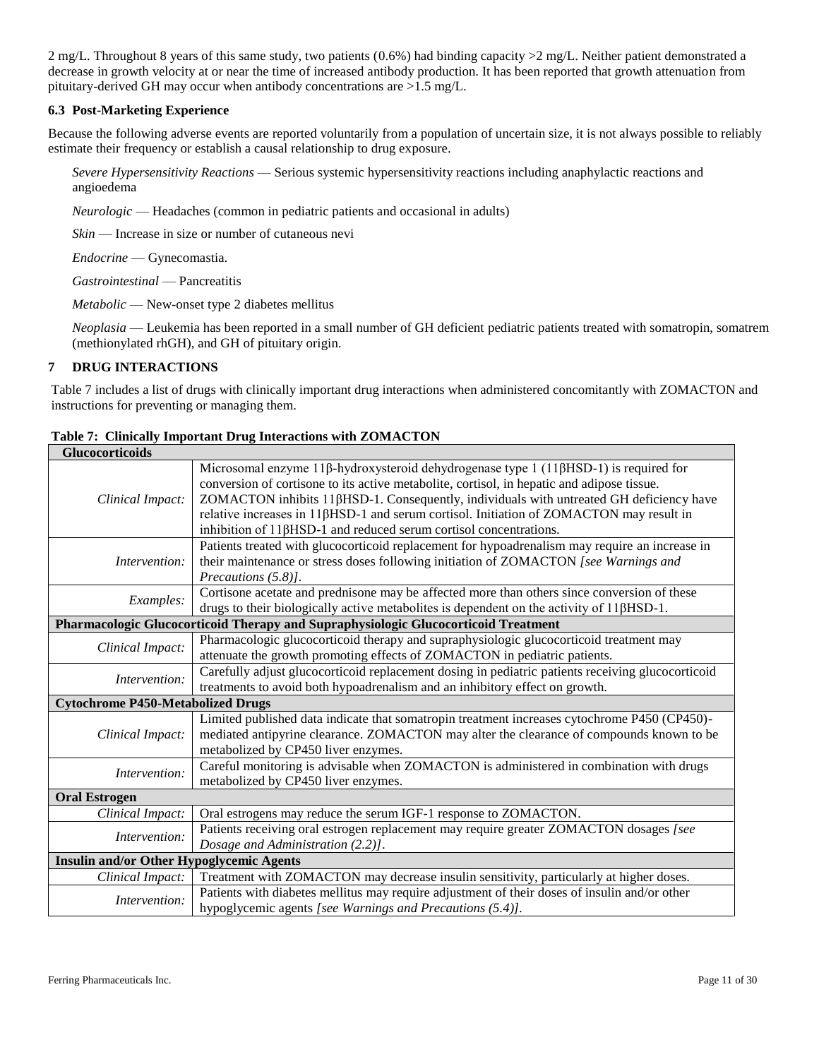2 mg/L. Throughout 8 years of this same study, two patients  $(0.6%)$  had binding capacity  $>2$  mg/L. Neither patient demonstrated a decrease in growth velocity at or near the time of increased antibody production. It has been reported that growth attenuation from pituitary-derived GH may occur when antibody concentrations are >1.5 mg/L.

## **6.3 Post-Marketing Experience**

Because the following adverse events are reported voluntarily from a population of uncertain size, it is not always possible to reliably estimate their frequency or establish a causal relationship to drug exposure.

*Severe Hypersensitivity Reactions* — Serious systemic hypersensitivity reactions including anaphylactic reactions and angioedema

*Neurologic* — Headaches (common in pediatric patients and occasional in adults)

*Skin* — Increase in size or number of cutaneous nevi

*Endocrine* — Gynecomastia.

*Gastrointestinal* — Pancreatitis

*Metabolic* — New-onset type 2 diabetes mellitus

*Neoplasia* — Leukemia has been reported in a small number of GH deficient pediatric patients treated with somatropin, somatrem (methionylated rhGH), and GH of pituitary origin.

### **7 DRUG INTERACTIONS**

Table 7 includes a list of drugs with clinically important drug interactions when administered concomitantly with ZOMACTON and instructions for preventing or managing them.

| <b>Glucocorticoids</b>                          |                                                                                                                                                                                                                                                                                                                                                                                                                                                             |  |
|-------------------------------------------------|-------------------------------------------------------------------------------------------------------------------------------------------------------------------------------------------------------------------------------------------------------------------------------------------------------------------------------------------------------------------------------------------------------------------------------------------------------------|--|
| Clinical Impact:                                | Microsomal enzyme 11β-hydroxysteroid dehydrogenase type 1 (11βHSD-1) is required for<br>conversion of cortisone to its active metabolite, cortisol, in hepatic and adipose tissue.<br>ZOMACTON inhibits 11βHSD-1. Consequently, individuals with untreated GH deficiency have<br>relative increases in $11\beta$ HSD-1 and serum cortisol. Initiation of ZOMACTON may result in<br>inhibition of $11\beta$ HSD-1 and reduced serum cortisol concentrations. |  |
| Intervention:                                   | Patients treated with glucocorticoid replacement for hypoadrenalism may require an increase in<br>their maintenance or stress doses following initiation of ZOMACTON [see Warnings and<br>Precautions (5.8)].                                                                                                                                                                                                                                               |  |
| Examples:                                       | Cortisone acetate and prednisone may be affected more than others since conversion of these<br>drugs to their biologically active metabolites is dependent on the activity of 11βHSD-1.                                                                                                                                                                                                                                                                     |  |
|                                                 | Pharmacologic Glucocorticoid Therapy and Supraphysiologic Glucocorticoid Treatment                                                                                                                                                                                                                                                                                                                                                                          |  |
| Clinical Impact:                                | Pharmacologic glucocorticoid therapy and supraphysiologic glucocorticoid treatment may<br>attenuate the growth promoting effects of ZOMACTON in pediatric patients.                                                                                                                                                                                                                                                                                         |  |
| Intervention:                                   | Carefully adjust glucocorticoid replacement dosing in pediatric patients receiving glucocorticoid<br>treatments to avoid both hypoadrenalism and an inhibitory effect on growth.                                                                                                                                                                                                                                                                            |  |
| <b>Cytochrome P450-Metabolized Drugs</b>        |                                                                                                                                                                                                                                                                                                                                                                                                                                                             |  |
| Clinical Impact:                                | Limited published data indicate that somatropin treatment increases cytochrome P450 (CP450)-<br>mediated antipyrine clearance. ZOMACTON may alter the clearance of compounds known to be<br>metabolized by CP450 liver enzymes.                                                                                                                                                                                                                             |  |
| Intervention:                                   | Careful monitoring is advisable when ZOMACTON is administered in combination with drugs<br>metabolized by CP450 liver enzymes.                                                                                                                                                                                                                                                                                                                              |  |
| <b>Oral Estrogen</b>                            |                                                                                                                                                                                                                                                                                                                                                                                                                                                             |  |
| Clinical Impact:                                | Oral estrogens may reduce the serum IGF-1 response to ZOMACTON.                                                                                                                                                                                                                                                                                                                                                                                             |  |
| Intervention:                                   | Patients receiving oral estrogen replacement may require greater ZOMACTON dosages [see<br>Dosage and Administration (2.2)].                                                                                                                                                                                                                                                                                                                                 |  |
| <b>Insulin and/or Other Hypoglycemic Agents</b> |                                                                                                                                                                                                                                                                                                                                                                                                                                                             |  |
| Clinical Impact:                                | Treatment with ZOMACTON may decrease insulin sensitivity, particularly at higher doses.                                                                                                                                                                                                                                                                                                                                                                     |  |
| Intervention:                                   | Patients with diabetes mellitus may require adjustment of their doses of insulin and/or other<br>hypoglycemic agents [see Warnings and Precautions (5.4)].                                                                                                                                                                                                                                                                                                  |  |

|  |  | Table 7: Clinically Important Drug Interactions with ZOMACTON |  |  |  |  |
|--|--|---------------------------------------------------------------|--|--|--|--|
|--|--|---------------------------------------------------------------|--|--|--|--|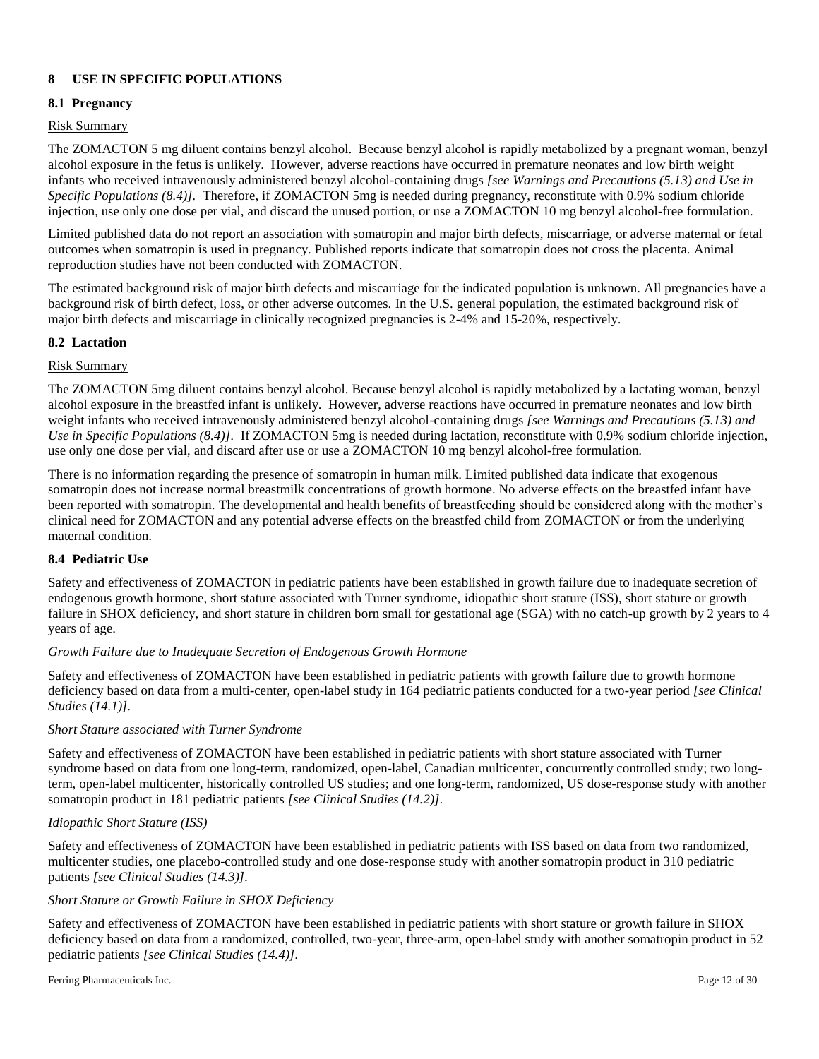## **8 USE IN SPECIFIC POPULATIONS**

### **8.1 Pregnancy**

### Risk Summary

The ZOMACTON 5 mg diluent contains benzyl alcohol. Because benzyl alcohol is rapidly metabolized by a pregnant woman, benzyl alcohol exposure in the fetus is unlikely. However, adverse reactions have occurred in premature neonates and low birth weight infants who received intravenously administered benzyl alcohol-containing drugs *[see Warnings and Precautions (5.13) and Use in Specific Populations (8.4)].* Therefore, if ZOMACTON 5mg is needed during pregnancy, reconstitute with 0.9% sodium chloride injection, use only one dose per vial, and discard the unused portion, or use a ZOMACTON 10 mg benzyl alcohol-free formulation.

Limited published data do not report an association with somatropin and major birth defects, miscarriage, or adverse maternal or fetal outcomes when somatropin is used in pregnancy. Published reports indicate that somatropin does not cross the placenta. Animal reproduction studies have not been conducted with ZOMACTON.

The estimated background risk of major birth defects and miscarriage for the indicated population is unknown. All pregnancies have a background risk of birth defect, loss, or other adverse outcomes. In the U.S. general population, the estimated background risk of major birth defects and miscarriage in clinically recognized pregnancies is 2-4% and 15-20%, respectively.

### **8.2 Lactation**

### Risk Summary

The ZOMACTON 5mg diluent contains benzyl alcohol. Because benzyl alcohol is rapidly metabolized by a lactating woman, benzyl alcohol exposure in the breastfed infant is unlikely. However, adverse reactions have occurred in premature neonates and low birth weight infants who received intravenously administered benzyl alcohol-containing drugs *[see Warnings and Precautions (5.13) and Use in Specific Populations (8.4)].* If ZOMACTON 5mg is needed during lactation, reconstitute with 0.9% sodium chloride injection, use only one dose per vial, and discard after use or use a ZOMACTON 10 mg benzyl alcohol-free formulation*.*

There is no information regarding the presence of somatropin in human milk. Limited published data indicate that exogenous somatropin does not increase normal breastmilk concentrations of growth hormone. No adverse effects on the breastfed infant have been reported with somatropin. The developmental and health benefits of breastfeeding should be considered along with the mother's clinical need for ZOMACTON and any potential adverse effects on the breastfed child from ZOMACTON or from the underlying maternal condition.

## **8.4 Pediatric Use**

Safety and effectiveness of ZOMACTON in pediatric patients have been established in growth failure due to inadequate secretion of endogenous growth hormone, short stature associated with Turner syndrome, idiopathic short stature (ISS), short stature or growth failure in SHOX deficiency, and short stature in children born small for gestational age (SGA) with no catch-up growth by 2 years to 4 years of age.

### *Growth Failure due to Inadequate Secretion of Endogenous Growth Hormone*

Safety and effectiveness of ZOMACTON have been established in pediatric patients with growth failure due to growth hormone deficiency based on data from a multi-center, open-label study in 164 pediatric patients conducted for a two-year period *[see Clinical Studies (14.1)].*

### *Short Stature associated with Turner Syndrome*

Safety and effectiveness of ZOMACTON have been established in pediatric patients with short stature associated with Turner syndrome based on data from one long-term, randomized, open-label, Canadian multicenter, concurrently controlled study; two longterm, open-label multicenter, historically controlled US studies; and one long-term, randomized, US dose-response study with another somatropin product in 181 pediatric patients *[see Clinical Studies (14.2)].*

### *Idiopathic Short Stature (ISS)*

Safety and effectiveness of ZOMACTON have been established in pediatric patients with ISS based on data from two randomized, multicenter studies, one placebo-controlled study and one dose-response study with another somatropin product in 310 pediatric patients *[see Clinical Studies (14.3)].*

### *Short Stature or Growth Failure in SHOX Deficiency*

Safety and effectiveness of ZOMACTON have been established in pediatric patients with short stature or growth failure in SHOX deficiency based on data from a randomized, controlled, two-year, three-arm, open-label study with another somatropin product in 52 pediatric patients *[see Clinical Studies (14.4)].*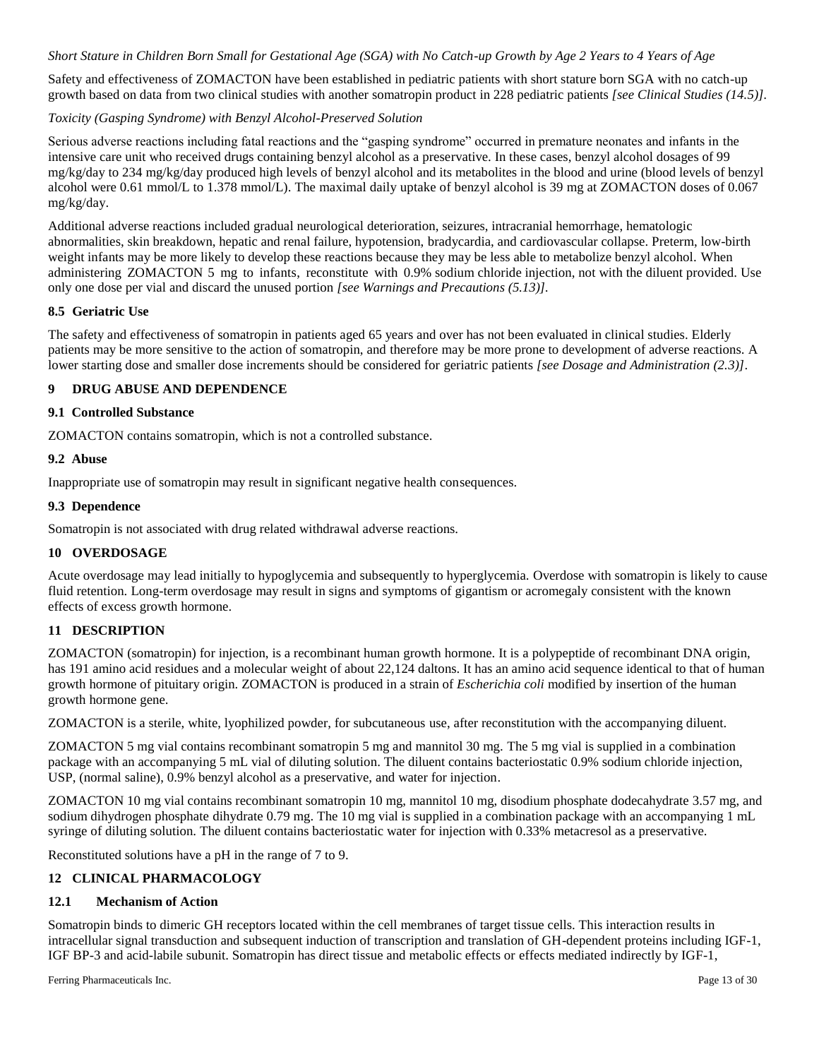### *Short Stature in Children Born Small for Gestational Age (SGA) with No Catch-up Growth by Age 2 Years to 4 Years of Age*

Safety and effectiveness of ZOMACTON have been established in pediatric patients with short stature born SGA with no catch-up growth based on data from two clinical studies with another somatropin product in 228 pediatric patients *[see Clinical Studies (14.5)].* 

### *Toxicity (Gasping Syndrome) with Benzyl Alcohol-Preserved Solution*

Serious adverse reactions including fatal reactions and the "gasping syndrome" occurred in premature neonates and infants in the intensive care unit who received drugs containing benzyl alcohol as a preservative. In these cases, benzyl alcohol dosages of 99 mg/kg/day to 234 mg/kg/day produced high levels of benzyl alcohol and its metabolites in the blood and urine (blood levels of benzyl alcohol were 0.61 mmol/L to 1.378 mmol/L). The maximal daily uptake of benzyl alcohol is 39 mg at ZOMACTON doses of 0.067 mg/kg/day.

Additional adverse reactions included gradual neurological deterioration, seizures, intracranial hemorrhage, hematologic abnormalities, skin breakdown, hepatic and renal failure, hypotension, bradycardia, and cardiovascular collapse. Preterm, low-birth weight infants may be more likely to develop these reactions because they may be less able to metabolize benzyl alcohol. When administering ZOMACTON 5 mg to infants, reconstitute with 0.9% sodium chloride injection, not with the diluent provided. Use only one dose per vial and discard the unused portion *[see Warnings and Precautions (5.13)].*

### **8.5 Geriatric Use**

The safety and effectiveness of somatropin in patients aged 65 years and over has not been evaluated in clinical studies. Elderly patients may be more sensitive to the action of somatropin, and therefore may be more prone to development of adverse reactions. A lower starting dose and smaller dose increments should be considered for geriatric patients *[see Dosage and Administration (2.3)]*.

### **9 DRUG ABUSE AND DEPENDENCE**

### **9.1 Controlled Substance**

ZOMACTON contains somatropin, which is not a controlled substance.

### **9.2 Abuse**

Inappropriate use of somatropin may result in significant negative health consequences.

### **9.3 Dependence**

Somatropin is not associated with drug related withdrawal adverse reactions.

### **10 OVERDOSAGE**

Acute overdosage may lead initially to hypoglycemia and subsequently to hyperglycemia. Overdose with somatropin is likely to cause fluid retention. Long-term overdosage may result in signs and symptoms of gigantism or acromegaly consistent with the known effects of excess growth hormone.

### **11 DESCRIPTION**

ZOMACTON (somatropin) for injection, is a recombinant human growth hormone. It is a polypeptide of recombinant DNA origin, has 191 amino acid residues and a molecular weight of about 22,124 daltons. It has an amino acid sequence identical to that of human growth hormone of pituitary origin. ZOMACTON is produced in a strain of *Escherichia coli* modified by insertion of the human growth hormone gene.

ZOMACTON is a sterile, white, lyophilized powder, for subcutaneous use, after reconstitution with the accompanying diluent.

ZOMACTON 5 mg vial contains recombinant somatropin 5 mg and mannitol 30 mg. The 5 mg vial is supplied in a combination package with an accompanying 5 mL vial of diluting solution. The diluent contains bacteriostatic 0.9% sodium chloride injection, USP, (normal saline), 0.9% benzyl alcohol as a preservative, and water for injection.

ZOMACTON 10 mg vial contains recombinant somatropin 10 mg, mannitol 10 mg, disodium phosphate dodecahydrate 3.57 mg, and sodium dihydrogen phosphate dihydrate 0.79 mg. The 10 mg vial is supplied in a combination package with an accompanying 1 mL syringe of diluting solution. The diluent contains bacteriostatic water for injection with 0.33% metacresol as a preservative.

Reconstituted solutions have a pH in the range of 7 to 9.

### **12 CLINICAL PHARMACOLOGY**

### **12.1 Mechanism of Action**

Somatropin binds to dimeric GH receptors located within the cell membranes of target tissue cells. This interaction results in intracellular signal transduction and subsequent induction of transcription and translation of GH-dependent proteins including IGF-1, IGF BP-3 and acid-labile subunit. Somatropin has direct tissue and metabolic effects or effects mediated indirectly by IGF-1,

Ferring Pharmaceuticals Inc. Page 13 of 30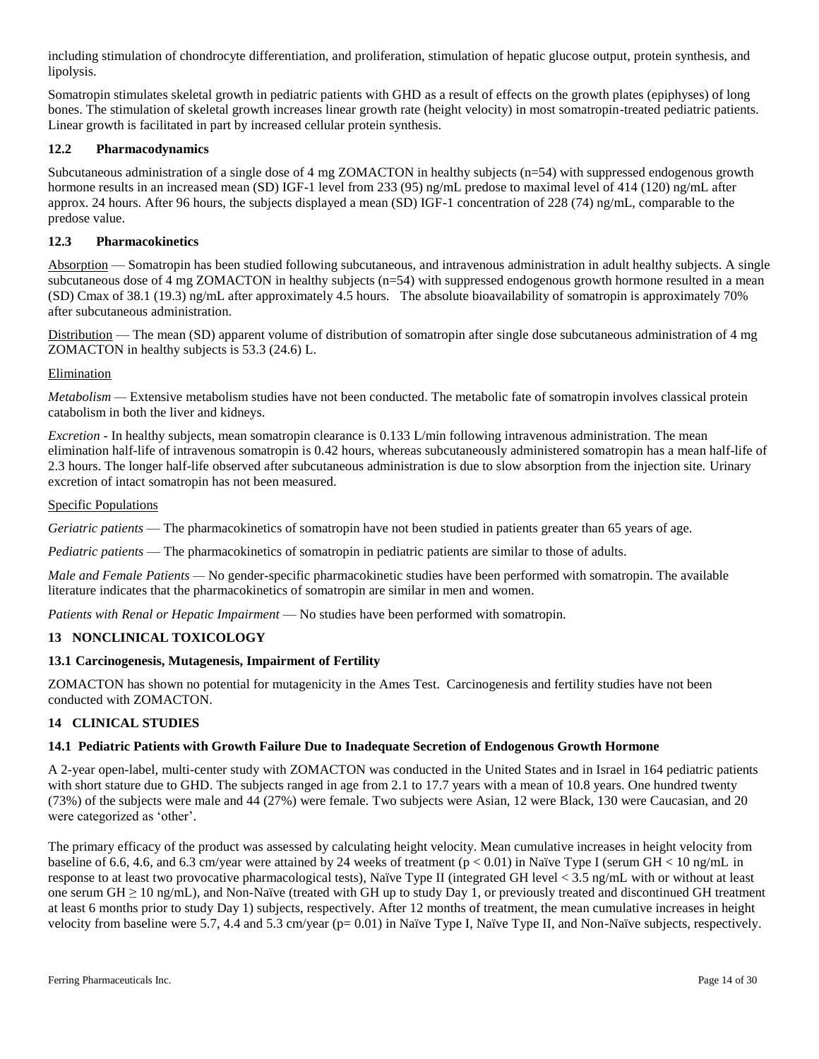including stimulation of chondrocyte differentiation, and proliferation, stimulation of hepatic glucose output, protein synthesis, and lipolysis.

Somatropin stimulates skeletal growth in pediatric patients with GHD as a result of effects on the growth plates (epiphyses) of long bones. The stimulation of skeletal growth increases linear growth rate (height velocity) in most somatropin-treated pediatric patients. Linear growth is facilitated in part by increased cellular protein synthesis.

### **12.2 Pharmacodynamics**

Subcutaneous administration of a single dose of 4 mg ZOMACTON in healthy subjects (n=54) with suppressed endogenous growth hormone results in an increased mean (SD) IGF-1 level from 233 (95) ng/mL predose to maximal level of 414 (120) ng/mL after approx. 24 hours. After 96 hours, the subjects displayed a mean (SD) IGF-1 concentration of 228 (74) ng/mL, comparable to the predose value.

### **12.3 Pharmacokinetics**

Absorption — Somatropin has been studied following subcutaneous, and intravenous administration in adult healthy subjects. A single subcutaneous dose of 4 mg ZOMACTON in healthy subjects (n=54) with suppressed endogenous growth hormone resulted in a mean (SD) Cmax of 38.1 (19.3) ng/mL after approximately 4.5 hours. The absolute bioavailability of somatropin is approximately 70% after subcutaneous administration.

Distribution — The mean (SD) apparent volume of distribution of somatropin after single dose subcutaneous administration of 4 mg ZOMACTON in healthy subjects is 53.3 (24.6) L.

### Elimination

*Metabolism* — Extensive metabolism studies have not been conducted. The metabolic fate of somatropin involves classical protein catabolism in both the liver and kidneys.

*Excretion* - In healthy subjects, mean somatropin clearance is 0.133 L/min following intravenous administration. The mean elimination half-life of intravenous somatropin is 0.42 hours, whereas subcutaneously administered somatropin has a mean half-life of 2.3 hours. The longer half-life observed after subcutaneous administration is due to slow absorption from the injection site. Urinary excretion of intact somatropin has not been measured.

### Specific Populations

*Geriatric patients* — The pharmacokinetics of somatropin have not been studied in patients greater than 65 years of age.

*Pediatric patients* — The pharmacokinetics of somatropin in pediatric patients are similar to those of adults.

*Male and Female Patients —* No gender-specific pharmacokinetic studies have been performed with somatropin. The available literature indicates that the pharmacokinetics of somatropin are similar in men and women.

*Patients with Renal or Hepatic Impairment* — No studies have been performed with somatropin.

### **13 NONCLINICAL TOXICOLOGY**

### **13.1 Carcinogenesis, Mutagenesis, Impairment of Fertility**

ZOMACTON has shown no potential for mutagenicity in the Ames Test. Carcinogenesis and fertility studies have not been conducted with ZOMACTON.

### **14 CLINICAL STUDIES**

### **14.1 Pediatric Patients with Growth Failure Due to Inadequate Secretion of Endogenous Growth Hormone**

A 2-year open-label, multi-center study with ZOMACTON was conducted in the United States and in Israel in 164 pediatric patients with short stature due to GHD. The subjects ranged in age from 2.1 to 17.7 years with a mean of 10.8 years. One hundred twenty (73%) of the subjects were male and 44 (27%) were female. Two subjects were Asian, 12 were Black, 130 were Caucasian, and 20 were categorized as 'other'.

The primary efficacy of the product was assessed by calculating height velocity. Mean cumulative increases in height velocity from baseline of 6.6, 4.6, and 6.3 cm/year were attained by 24 weeks of treatment ( $p < 0.01$ ) in Naïve Type I (serum GH < 10 ng/mL in response to at least two provocative pharmacological tests), Naïve Type II (integrated GH level < 3.5 ng/mL with or without at least one serum GH  $\geq$  10 ng/mL), and Non-Naïve (treated with GH up to study Day 1, or previously treated and discontinued GH treatment at least 6 months prior to study Day 1) subjects, respectively. After 12 months of treatment, the mean cumulative increases in height velocity from baseline were 5.7, 4.4 and 5.3 cm/year (p= 0.01) in Naïve Type I, Naïve Type II, and Non-Naïve subjects, respectively.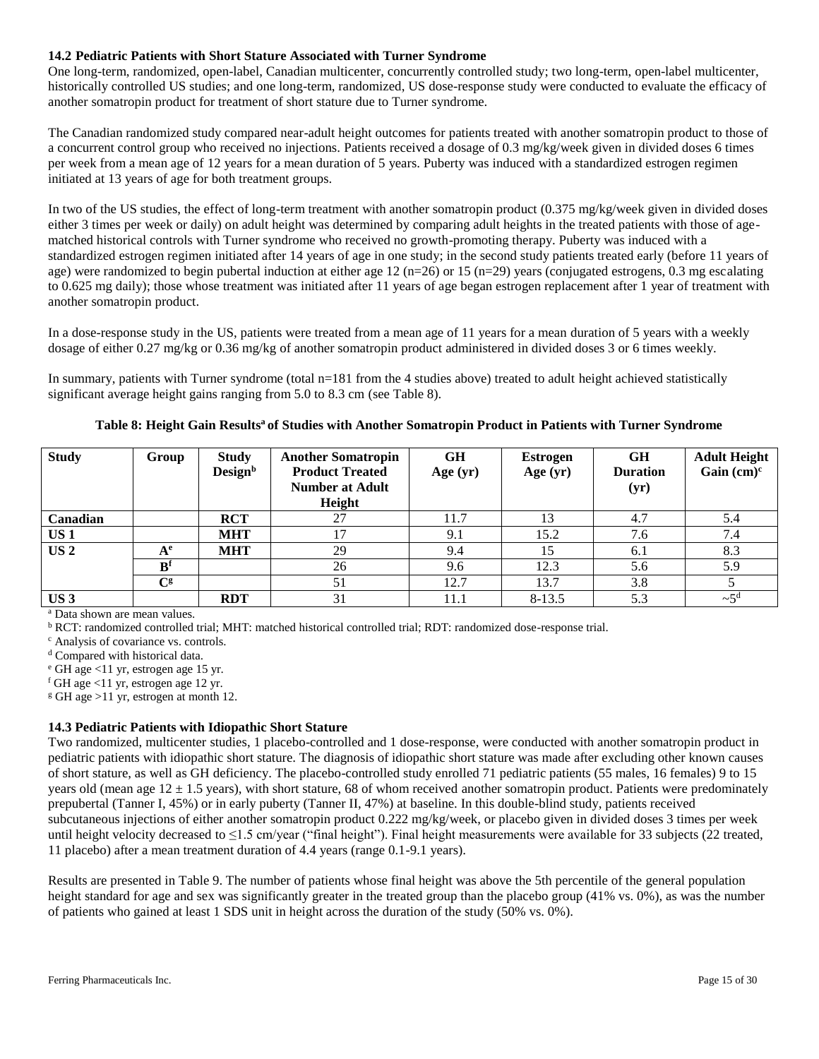### **14.2 Pediatric Patients with Short Stature Associated with Turner Syndrome**

One long-term, randomized, open-label, Canadian multicenter, concurrently controlled study; two long-term, open-label multicenter, historically controlled US studies; and one long-term, randomized, US dose-response study were conducted to evaluate the efficacy of another somatropin product for treatment of short stature due to Turner syndrome.

The Canadian randomized study compared near-adult height outcomes for patients treated with another somatropin product to those of a concurrent control group who received no injections. Patients received a dosage of 0.3 mg/kg/week given in divided doses 6 times per week from a mean age of 12 years for a mean duration of 5 years. Puberty was induced with a standardized estrogen regimen initiated at 13 years of age for both treatment groups.

In two of the US studies, the effect of long-term treatment with another somatropin product (0.375 mg/kg/week given in divided doses either 3 times per week or daily) on adult height was determined by comparing adult heights in the treated patients with those of agematched historical controls with Turner syndrome who received no growth-promoting therapy. Puberty was induced with a standardized estrogen regimen initiated after 14 years of age in one study; in the second study patients treated early (before 11 years of age) were randomized to begin pubertal induction at either age  $12$  (n=26) or  $15$  (n=29) years (conjugated estrogens, 0.3 mg escalating to 0.625 mg daily); those whose treatment was initiated after 11 years of age began estrogen replacement after 1 year of treatment with another somatropin product.

In a dose-response study in the US, patients were treated from a mean age of 11 years for a mean duration of 5 years with a weekly dosage of either 0.27 mg/kg or 0.36 mg/kg of another somatropin product administered in divided doses 3 or 6 times weekly.

In summary, patients with Turner syndrome (total n=181 from the 4 studies above) treated to adult height achieved statistically significant average height gains ranging from 5.0 to 8.3 cm (see Table 8).

| <b>Study</b>    | Group                     | <b>Study</b><br>Design <sup>b</sup> | <b>Another Somatropin</b><br><b>Product Treated</b><br><b>Number at Adult</b><br>Height | <b>GH</b><br>Age $(yr)$ | Estrogen<br>Age $(yr)$ | <b>GH</b><br><b>Duration</b><br>(yr) | <b>Adult Height</b><br>Gain $(cm)^c$ |
|-----------------|---------------------------|-------------------------------------|-----------------------------------------------------------------------------------------|-------------------------|------------------------|--------------------------------------|--------------------------------------|
| Canadian        |                           | <b>RCT</b>                          | 27                                                                                      | 11.7                    | 13                     | 4.7                                  | 5.4                                  |
| US <sub>1</sub> |                           | <b>MHT</b>                          | 17                                                                                      | 9.1                     | 15.2                   | 7.6                                  | 7.4                                  |
| US <sub>2</sub> | $A^e$                     | <b>MHT</b>                          | 29                                                                                      | 9.4                     | 15                     | 6.1                                  | 8.3                                  |
|                 | R <sup>f</sup>            |                                     | 26                                                                                      | 9.6                     | 12.3                   | 5.6                                  | 5.9                                  |
|                 | $\mathbf{C}^{\mathbf{g}}$ |                                     | 51                                                                                      | 12.7                    | 13.7                   | 3.8                                  |                                      |
| US <sub>3</sub> |                           | <b>RDT</b>                          | 31                                                                                      | 11.1                    | $8-13.5$               | 5.3                                  | $\sim$ 5 <sup>d</sup>                |

**Table 8: Height Gain Results<sup>a</sup> of Studies with Another Somatropin Product in Patients with Turner Syndrome**

<sup>a</sup> Data shown are mean values.

<sup>b</sup> RCT: randomized controlled trial; MHT: matched historical controlled trial; RDT: randomized dose-response trial.

<sup>c</sup> Analysis of covariance vs. controls.

<sup>d</sup> Compared with historical data.

<sup>e</sup> GH age <11 yr, estrogen age 15 yr.

 $f$  GH age <11 yr, estrogen age 12 yr.

 $g$  GH age >11 yr, estrogen at month 12.

### **14.3 Pediatric Patients with Idiopathic Short Stature**

Two randomized, multicenter studies, 1 placebo-controlled and 1 dose-response, were conducted with another somatropin product in pediatric patients with idiopathic short stature. The diagnosis of idiopathic short stature was made after excluding other known causes of short stature, as well as GH deficiency. The placebo-controlled study enrolled 71 pediatric patients (55 males, 16 females) 9 to 15 years old (mean age  $12 \pm 1.5$  years), with short stature, 68 of whom received another somatropin product. Patients were predominately prepubertal (Tanner I, 45%) or in early puberty (Tanner II, 47%) at baseline. In this double-blind study, patients received subcutaneous injections of either another somatropin product 0.222 mg/kg/week, or placebo given in divided doses 3 times per week until height velocity decreased to  $\leq$ 1.5 cm/year ("final height"). Final height measurements were available for 33 subjects (22 treated, 11 placebo) after a mean treatment duration of 4.4 years (range 0.1-9.1 years).

Results are presented in Table 9. The number of patients whose final height was above the 5th percentile of the general population height standard for age and sex was significantly greater in the treated group than the placebo group (41% vs. 0%), as was the number of patients who gained at least 1 SDS unit in height across the duration of the study (50% vs. 0%).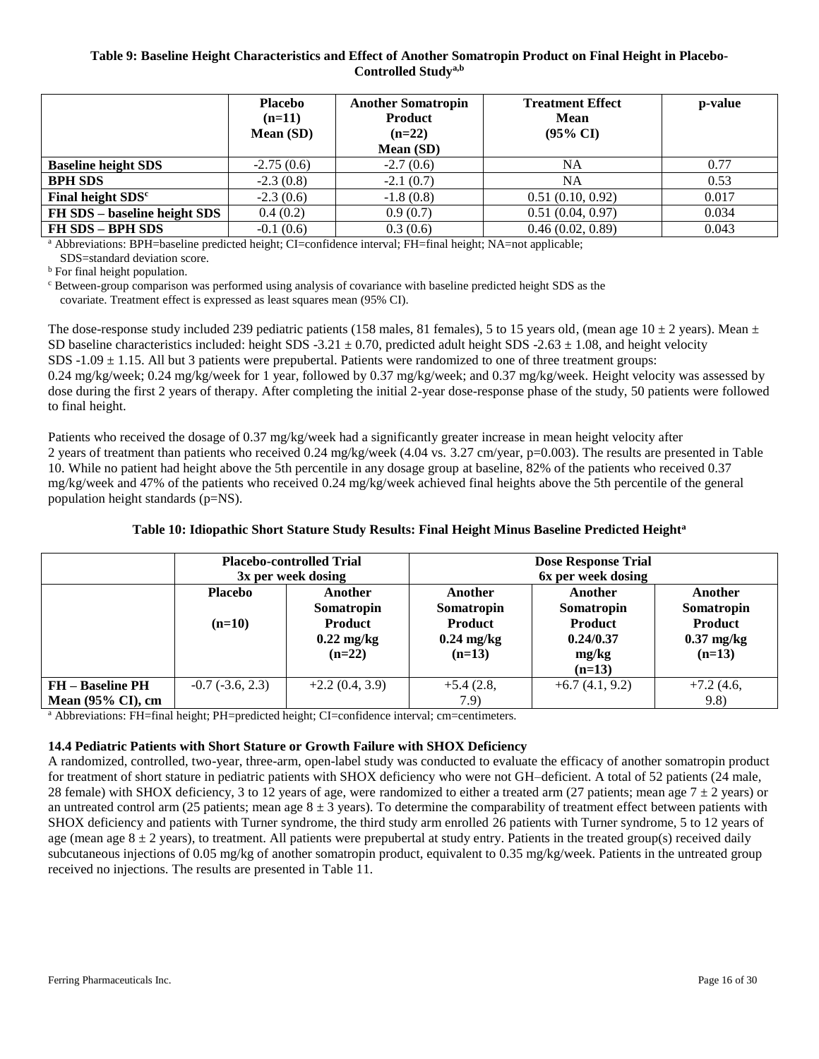### **Table 9: Baseline Height Characteristics and Effect of Another Somatropin Product on Final Height in Placebo-Controlled Studya,b**

|                               | <b>Placebo</b><br>$(n=11)$<br>Mean (SD) | <b>Another Somatropin</b><br><b>Product</b><br>$(n=22)$<br>Mean (SD) | <b>Treatment Effect</b><br><b>Mean</b><br>$(95\% \text{ CI})$ | p-value |
|-------------------------------|-----------------------------------------|----------------------------------------------------------------------|---------------------------------------------------------------|---------|
| <b>Baseline height SDS</b>    | $-2.75(0.6)$                            | $-2.7(0.6)$                                                          | NA                                                            | 0.77    |
| <b>BPH SDS</b>                | $-2.3(0.8)$                             | $-2.1(0.7)$                                                          | NA                                                            | 0.53    |
| Final height SDS <sup>c</sup> | $-2.3(0.6)$                             | $-1.8(0.8)$                                                          | 0.51(0.10, 0.92)                                              | 0.017   |
| FH SDS - baseline height SDS  | 0.4(0.2)                                | 0.9(0.7)                                                             | 0.51(0.04, 0.97)                                              | 0.034   |
| FH SDS - BPH SDS              | $-0.1(0.6)$                             | 0.3(0.6)                                                             | 0.46(0.02, 0.89)                                              | 0.043   |

<sup>a</sup> Abbreviations: BPH=baseline predicted height; CI=confidence interval; FH=final height; NA=not applicable; SDS=standard deviation score.

<sup>b</sup> For final height population.

<sup>c</sup> Between-group comparison was performed using analysis of covariance with baseline predicted height SDS as the covariate. Treatment effect is expressed as least squares mean (95% CI).

The dose-response study included 239 pediatric patients (158 males, 81 females), 5 to 15 years old, (mean age  $10 \pm 2$  years). Mean  $\pm$ SD baseline characteristics included: height SDS -3.21  $\pm$  0.70, predicted adult height SDS -2.63  $\pm$  1.08, and height velocity SDS  $-1.09 \pm 1.15$ . All but 3 patients were prepubertal. Patients were randomized to one of three treatment groups: 0.24 mg/kg/week; 0.24 mg/kg/week for 1 year, followed by 0.37 mg/kg/week; and 0.37 mg/kg/week. Height velocity was assessed by dose during the first 2 years of therapy. After completing the initial 2-year dose-response phase of the study, 50 patients were followed to final height.

Patients who received the dosage of 0.37 mg/kg/week had a significantly greater increase in mean height velocity after 2 years of treatment than patients who received 0.24 mg/kg/week (4.04 vs. 3.27 cm/year, p=0.003). The results are presented in Table 10. While no patient had height above the 5th percentile in any dosage group at baseline, 82% of the patients who received 0.37 mg/kg/week and 47% of the patients who received 0.24 mg/kg/week achieved final heights above the 5th percentile of the general population height standards (p=NS).

## **Table 10: Idiopathic Short Stature Study Results: Final Height Minus Baseline Predicted Height<sup>a</sup>**

|                                                          | <b>Placebo-controlled Trial</b><br>3x per week dosing |                                                                             | <b>Dose Response Trial</b><br>6x per week dosing                            |                                                                           |                                                              |
|----------------------------------------------------------|-------------------------------------------------------|-----------------------------------------------------------------------------|-----------------------------------------------------------------------------|---------------------------------------------------------------------------|--------------------------------------------------------------|
|                                                          | <b>Placebo</b><br>$(n=10)$                            | Another<br>Somatropin<br><b>Product</b><br>$0.22 \text{ mg/kg}$<br>$(n=22)$ | Another<br>Somatropin<br><b>Product</b><br>$0.24 \text{ mg/kg}$<br>$(n=13)$ | Another<br>Somatropin<br><b>Product</b><br>0.24/0.37<br>mg/kg<br>$(n=13)$ | Another<br>Somatropin<br>Product<br>$0.37$ mg/kg<br>$(n=13)$ |
| <b>FH</b> – Baseline PH<br>Mean $(95\% \text{ CI})$ , cm | $-0.7$ $(-3.6, 2.3)$                                  | $+2.2(0.4, 3.9)$                                                            | $+5.4(2.8,$<br>7.9)                                                         | $+6.7(4.1, 9.2)$                                                          | $+7.2(4.6,$<br>9.8)                                          |

<sup>a</sup> Abbreviations: FH=final height; PH=predicted height; CI=confidence interval; cm=centimeters.

### **14.4 Pediatric Patients with Short Stature or Growth Failure with SHOX Deficiency**

A randomized, controlled, two-year, three-arm, open-label study was conducted to evaluate the efficacy of another somatropin product for treatment of short stature in pediatric patients with SHOX deficiency who were not GH–deficient. A total of 52 patients (24 male, 28 female) with SHOX deficiency, 3 to 12 years of age, were randomized to either a treated arm (27 patients; mean age  $7 \pm 2$  years) or an untreated control arm (25 patients; mean age  $8 \pm 3$  years). To determine the comparability of treatment effect between patients with SHOX deficiency and patients with Turner syndrome, the third study arm enrolled 26 patients with Turner syndrome, 5 to 12 years of age (mean age  $8 \pm 2$  years), to treatment. All patients were prepubertal at study entry. Patients in the treated group(s) received daily subcutaneous injections of 0.05 mg/kg of another somatropin product, equivalent to 0.35 mg/kg/week. Patients in the untreated group received no injections. The results are presented in Table 11.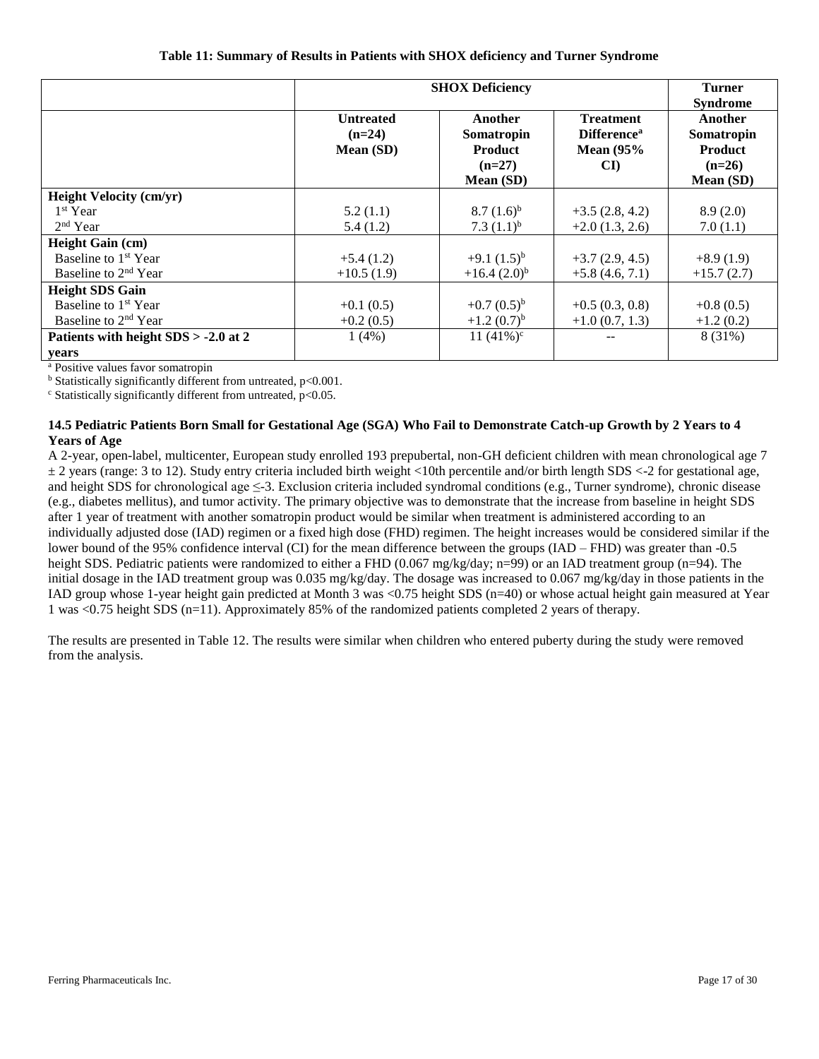|                                      | <b>SHOX Deficiency</b>                    |                                                                  |                                                                          | <b>Turner</b><br><b>Syndrome</b>                                 |
|--------------------------------------|-------------------------------------------|------------------------------------------------------------------|--------------------------------------------------------------------------|------------------------------------------------------------------|
|                                      | <b>Untreated</b><br>$(n=24)$<br>Mean (SD) | Another<br>Somatropin<br><b>Product</b><br>$(n=27)$<br>Mean (SD) | <b>Treatment</b><br><b>Difference</b> <sup>a</sup><br>Mean $(95%$<br>CI) | Another<br>Somatropin<br><b>Product</b><br>$(n=26)$<br>Mean (SD) |
| <b>Height Velocity (cm/yr)</b>       |                                           |                                                                  |                                                                          |                                                                  |
| 1 <sup>st</sup> Year                 | 5.2(1.1)                                  | $8.7(1.6)^{b}$                                                   | $+3.5(2.8, 4.2)$                                                         | 8.9(2.0)                                                         |
| $2nd$ Year                           | 5.4(1.2)                                  | 7.3 $(1.1)^{b}$                                                  | $+2.0(1.3, 2.6)$                                                         | 7.0(1.1)                                                         |
| <b>Height Gain (cm)</b>              |                                           |                                                                  |                                                                          |                                                                  |
| Baseline to 1 <sup>st</sup> Year     | $+5.4(1.2)$                               | $+9.1(1.5)^{b}$                                                  | $+3.7(2.9, 4.5)$                                                         | $+8.9(1.9)$                                                      |
| Baseline to 2 <sup>nd</sup> Year     | $+10.5(1.9)$                              | $+16.4(2.0)^{b}$                                                 | $+5.8(4.6, 7.1)$                                                         | $+15.7(2.7)$                                                     |
| <b>Height SDS Gain</b>               |                                           |                                                                  |                                                                          |                                                                  |
| Baseline to 1 <sup>st</sup> Year     | $+0.1(0.5)$                               | $+0.7(0.5)^{b}$                                                  | $+0.5(0.3, 0.8)$                                                         | $+0.8(0.5)$                                                      |
| Baseline to 2 <sup>nd</sup> Year     | $+0.2(0.5)$                               | $+1.2(0.7)^{b}$                                                  | $+1.0(0.7, 1.3)$                                                         | $+1.2(0.2)$                                                      |
| Patients with height SDS > -2.0 at 2 | 1(4%)                                     | 11 $(41\%)^c$                                                    |                                                                          | 8 (31%)                                                          |
| years                                |                                           |                                                                  |                                                                          |                                                                  |

<sup>a</sup> Positive values favor somatropin

 $<sup>b</sup>$  Statistically significantly different from untreated, p<0.001.</sup>

 $\degree$  Statistically significantly different from untreated, p<0.05.

### **14.5 Pediatric Patients Born Small for Gestational Age (SGA) Who Fail to Demonstrate Catch-up Growth by 2 Years to 4 Years of Age**

A 2-year, open-label, multicenter, European study enrolled 193 prepubertal, non-GH deficient children with mean chronological age 7 ± 2 years (range: 3 to 12). Study entry criteria included birth weight <10th percentile and/or birth length SDS <-2 for gestational age, and height SDS for chronological age ≤-3. Exclusion criteria included syndromal conditions (e.g., Turner syndrome), chronic disease (e.g., diabetes mellitus), and tumor activity. The primary objective was to demonstrate that the increase from baseline in height SDS after 1 year of treatment with another somatropin product would be similar when treatment is administered according to an individually adjusted dose (IAD) regimen or a fixed high dose (FHD) regimen. The height increases would be considered similar if the lower bound of the 95% confidence interval (CI) for the mean difference between the groups (IAD – FHD) was greater than -0.5 height SDS. Pediatric patients were randomized to either a FHD (0.067 mg/kg/day; n=99) or an IAD treatment group (n=94). The initial dosage in the IAD treatment group was 0.035 mg/kg/day. The dosage was increased to 0.067 mg/kg/day in those patients in the IAD group whose 1-year height gain predicted at Month 3 was <0.75 height SDS (n=40) or whose actual height gain measured at Year 1 was <0.75 height SDS (n=11). Approximately 85% of the randomized patients completed 2 years of therapy.

The results are presented in Table 12. The results were similar when children who entered puberty during the study were removed from the analysis.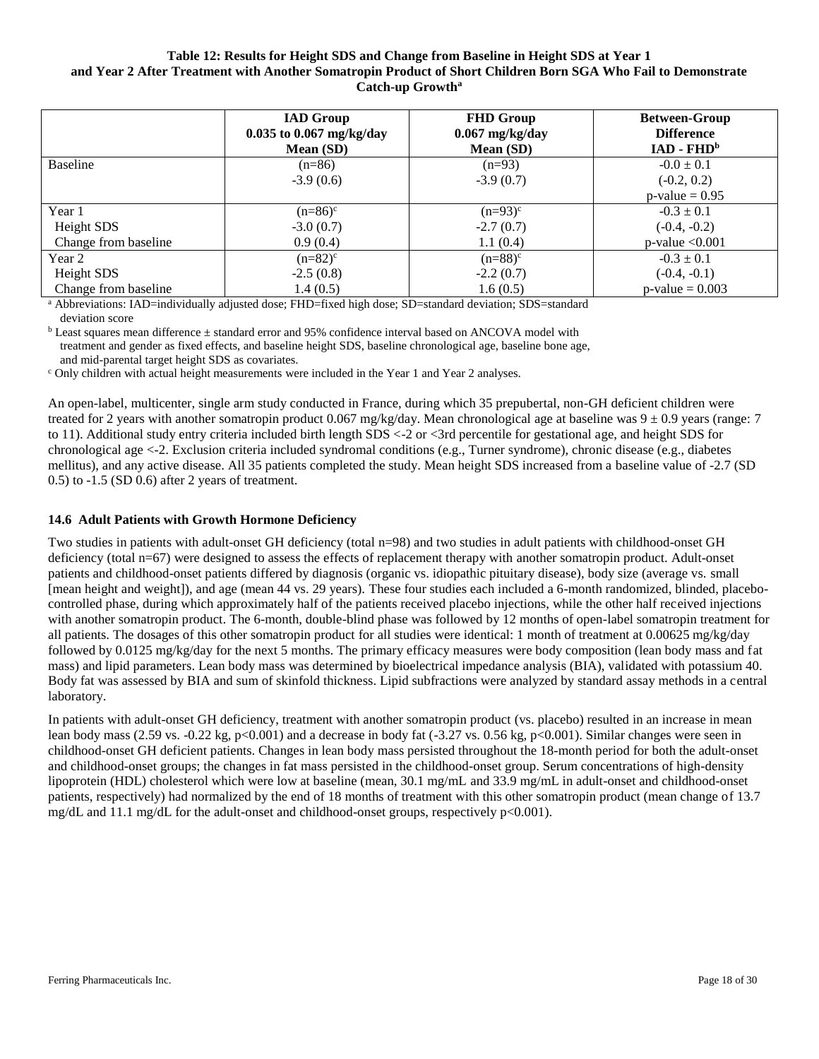### **Table 12: Results for Height SDS and Change from Baseline in Height SDS at Year 1 and Year 2 After Treatment with Another Somatropin Product of Short Children Born SGA Who Fail to Demonstrate Catch-up Growth<sup>a</sup>**

|                      | <b>IAD</b> Group<br>$0.035$ to 0.067 mg/kg/day<br><b>Mean (SD)</b> | <b>FHD Group</b><br>$0.067$ mg/kg/day<br><b>Mean (SD)</b> | <b>Between-Group</b><br><b>Difference</b><br>$IAD - FHDb$ |
|----------------------|--------------------------------------------------------------------|-----------------------------------------------------------|-----------------------------------------------------------|
| <b>Baseline</b>      | $(n=86)$                                                           | $(n=93)$                                                  | $-0.0 \pm 0.1$                                            |
|                      | $-3.9(0.6)$                                                        | $-3.9(0.7)$                                               | $(-0.2, 0.2)$                                             |
|                      |                                                                    |                                                           | $p$ -value = 0.95                                         |
| Year 1               | $(n=86)^{c}$                                                       | $(n=93)^{c}$                                              | $-0.3 \pm 0.1$                                            |
| Height SDS           | $-3.0(0.7)$                                                        | $-2.7(0.7)$                                               | $(-0.4, -0.2)$                                            |
| Change from baseline | 0.9(0.4)                                                           | 1.1(0.4)                                                  | $p$ -value $< 0.001$                                      |
| Year 2               | $(n=82)^{c}$                                                       | $(n=88)^{c}$                                              | $-0.3 \pm 0.1$                                            |
| Height SDS           | $-2.5(0.8)$                                                        | $-2.2(0.7)$                                               | $(-0.4, -0.1)$                                            |
| Change from baseline | 1.4(0.5)                                                           | 1.6(0.5)                                                  | $p$ -value = 0.003                                        |

<sup>a</sup> Abbreviations: IAD=individually adjusted dose; FHD=fixed high dose; SD=standard deviation; SDS=standard deviation score

 $b$  Least squares mean difference  $\pm$  standard error and 95% confidence interval based on ANCOVA model with treatment and gender as fixed effects, and baseline height SDS, baseline chronological age, baseline bone age, and mid-parental target height SDS as covariates.

<sup>c</sup> Only children with actual height measurements were included in the Year 1 and Year 2 analyses.

An open-label, multicenter, single arm study conducted in France, during which 35 prepubertal, non-GH deficient children were treated for 2 years with another somatropin product 0.067 mg/kg/day. Mean chronological age at baseline was  $9 \pm 0.9$  years (range: 7 to 11). Additional study entry criteria included birth length SDS <-2 or <3rd percentile for gestational age, and height SDS for chronological age <-2. Exclusion criteria included syndromal conditions (e.g., Turner syndrome), chronic disease (e.g., diabetes mellitus), and any active disease. All 35 patients completed the study. Mean height SDS increased from a baseline value of -2.7 (SD 0.5) to -1.5 (SD 0.6) after 2 years of treatment.

### **14.6 Adult Patients with Growth Hormone Deficiency**

Two studies in patients with adult-onset GH deficiency (total n=98) and two studies in adult patients with childhood-onset GH deficiency (total n=67) were designed to assess the effects of replacement therapy with another somatropin product. Adult-onset patients and childhood-onset patients differed by diagnosis (organic vs. idiopathic pituitary disease), body size (average vs. small [mean height and weight]), and age (mean 44 vs. 29 years). These four studies each included a 6-month randomized, blinded, placebocontrolled phase, during which approximately half of the patients received placebo injections, while the other half received injections with another somatropin product. The 6-month, double-blind phase was followed by 12 months of open-label somatropin treatment for all patients. The dosages of this other somatropin product for all studies were identical: 1 month of treatment at  $0.00625$  mg/kg/day followed by 0.0125 mg/kg/day for the next 5 months. The primary efficacy measures were body composition (lean body mass and fat mass) and lipid parameters. Lean body mass was determined by bioelectrical impedance analysis (BIA), validated with potassium 40. Body fat was assessed by BIA and sum of skinfold thickness. Lipid subfractions were analyzed by standard assay methods in a central laboratory.

In patients with adult-onset GH deficiency, treatment with another somatropin product (vs. placebo) resulted in an increase in mean lean body mass (2.59 vs. -0.22 kg, p<0.001) and a decrease in body fat (-3.27 vs. 0.56 kg, p<0.001). Similar changes were seen in childhood-onset GH deficient patients. Changes in lean body mass persisted throughout the 18-month period for both the adult-onset and childhood-onset groups; the changes in fat mass persisted in the childhood-onset group. Serum concentrations of high-density lipoprotein (HDL) cholesterol which were low at baseline (mean, 30.1 mg/mL and 33.9 mg/mL in adult-onset and childhood-onset patients, respectively) had normalized by the end of 18 months of treatment with this other somatropin product (mean change of 13.7 mg/dL and 11.1 mg/dL for the adult-onset and childhood-onset groups, respectively p<0.001).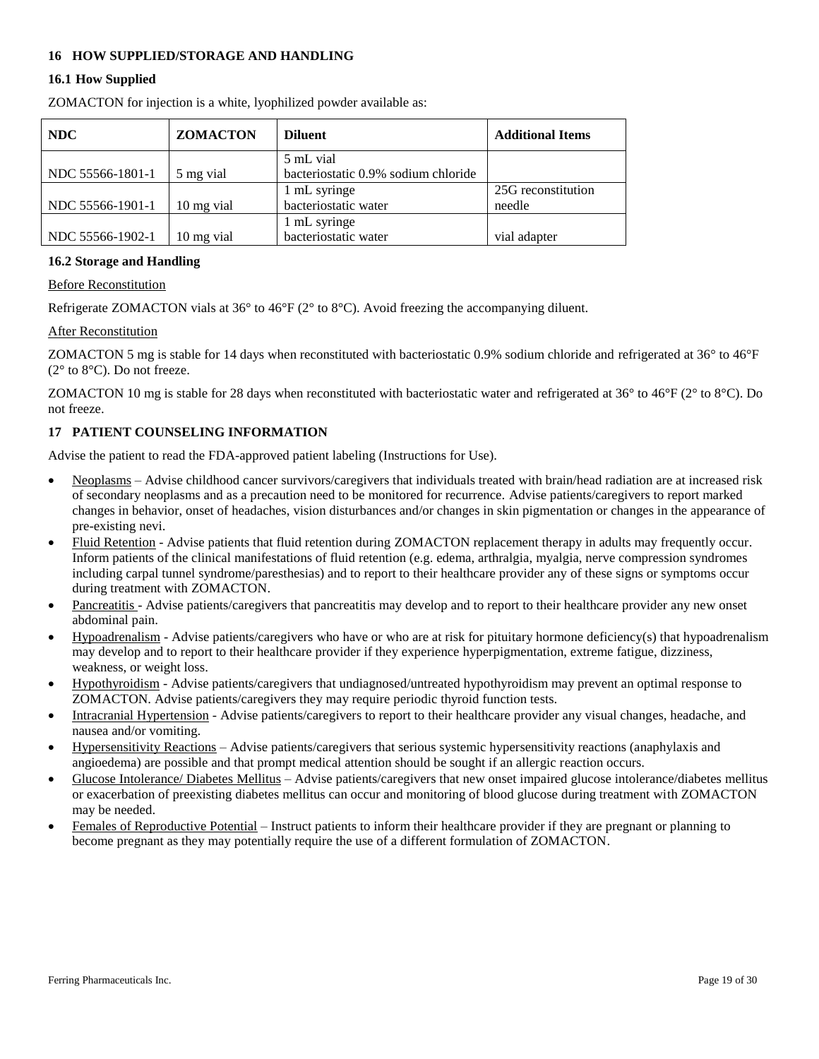## **16 HOW SUPPLIED/STORAGE AND HANDLING**

### **16.1 How Supplied**

ZOMACTON for injection is a white, lyophilized powder available as:

| <b>NDC</b>       | <b>ZOMACTON</b> | <b>Diluent</b>                      | <b>Additional Items</b> |
|------------------|-----------------|-------------------------------------|-------------------------|
|                  |                 | 5 mL vial                           |                         |
| NDC 55566-1801-1 | 5 mg vial       | bacteriostatic 0.9% sodium chloride |                         |
|                  |                 | 1 mL syringe                        | 25G reconstitution      |
| NDC 55566-1901-1 | 10 mg vial      | bacteriostatic water                | needle                  |
|                  |                 | 1 mL syringe                        |                         |
| NDC 55566-1902-1 | 10 mg vial      | bacteriostatic water                | vial adapter            |

### **16.2 Storage and Handling**

### Before Reconstitution

Refrigerate ZOMACTON vials at 36° to 46°F (2° to 8°C). Avoid freezing the accompanying diluent.

### After Reconstitution

ZOMACTON 5 mg is stable for 14 days when reconstituted with bacteriostatic 0.9% sodium chloride and refrigerated at 36° to 46°F (2° to 8°C). Do not freeze.

ZOMACTON 10 mg is stable for 28 days when reconstituted with bacteriostatic water and refrigerated at 36° to 46°F (2° to 8°C). Do not freeze.

### **17 PATIENT COUNSELING INFORMATION**

Advise the patient to read the FDA-approved patient labeling (Instructions for Use).

- Neoplasms Advise childhood cancer survivors/caregivers that individuals treated with brain/head radiation are at increased risk of secondary neoplasms and as a precaution need to be monitored for recurrence. Advise patients/caregivers to report marked changes in behavior, onset of headaches, vision disturbances and/or changes in skin pigmentation or changes in the appearance of pre-existing nevi.
- Fluid Retention Advise patients that fluid retention during ZOMACTON replacement therapy in adults may frequently occur. Inform patients of the clinical manifestations of fluid retention (e.g. edema, arthralgia, myalgia, nerve compression syndromes including carpal tunnel syndrome/paresthesias) and to report to their healthcare provider any of these signs or symptoms occur during treatment with ZOMACTON.
- Pancreatitis Advise patients/caregivers that pancreatitis may develop and to report to their healthcare provider any new onset abdominal pain.
- Hypoadrenalism Advise patients/caregivers who have or who are at risk for pituitary hormone deficiency(s) that hypoadrenalism may develop and to report to their healthcare provider if they experience hyperpigmentation, extreme fatigue, dizziness, weakness, or weight loss.
- Hypothyroidism Advise patients/caregivers that undiagnosed/untreated hypothyroidism may prevent an optimal response to ZOMACTON. Advise patients/caregivers they may require periodic thyroid function tests.
- Intracranial Hypertension Advise patients/caregivers to report to their healthcare provider any visual changes, headache, and nausea and/or vomiting.
- Hypersensitivity Reactions Advise patients/caregivers that serious systemic hypersensitivity reactions (anaphylaxis and angioedema) are possible and that prompt medical attention should be sought if an allergic reaction occurs.
- Glucose Intolerance/ Diabetes Mellitus Advise patients/caregivers that new onset impaired glucose intolerance/diabetes mellitus or exacerbation of preexisting diabetes mellitus can occur and monitoring of blood glucose during treatment with ZOMACTON may be needed.
- Females of Reproductive Potential Instruct patients to inform their healthcare provider if they are pregnant or planning to become pregnant as they may potentially require the use of a different formulation of ZOMACTON.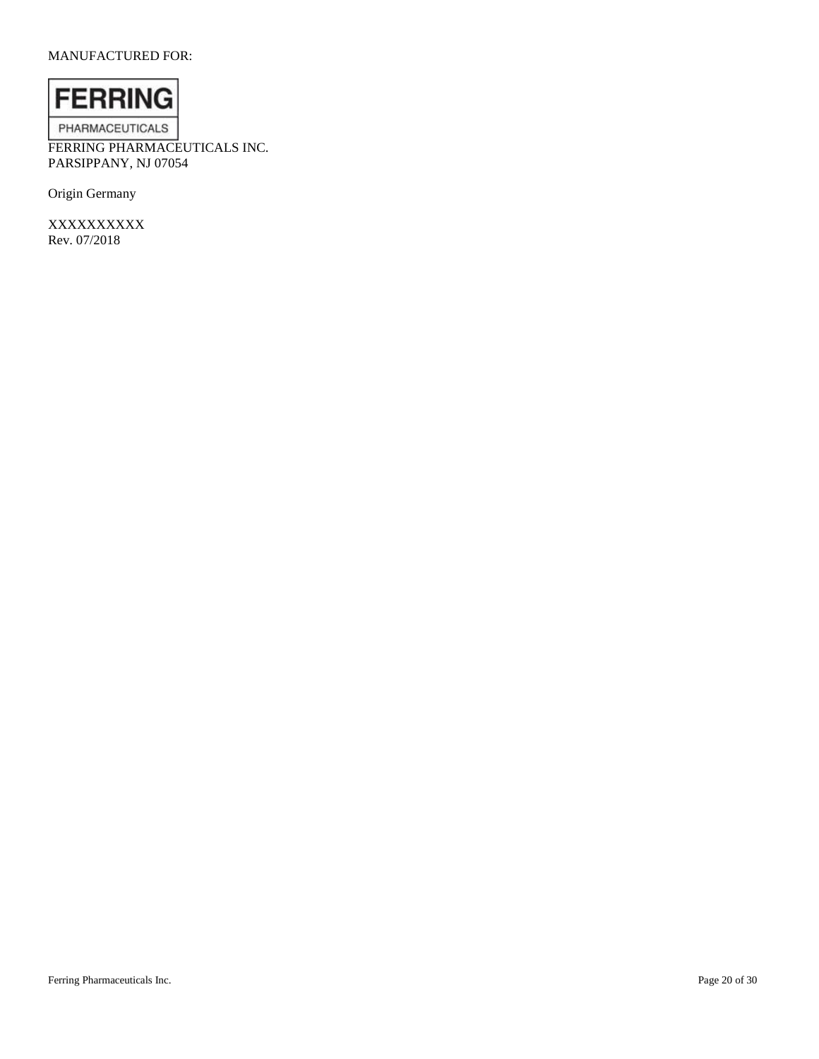## MANUFACTURED FOR:



FERRING PHARMACEUTICALS INC. PARSIPPANY, NJ 07054

Origin Germany

XXXXXXXXXX Rev. 07/2018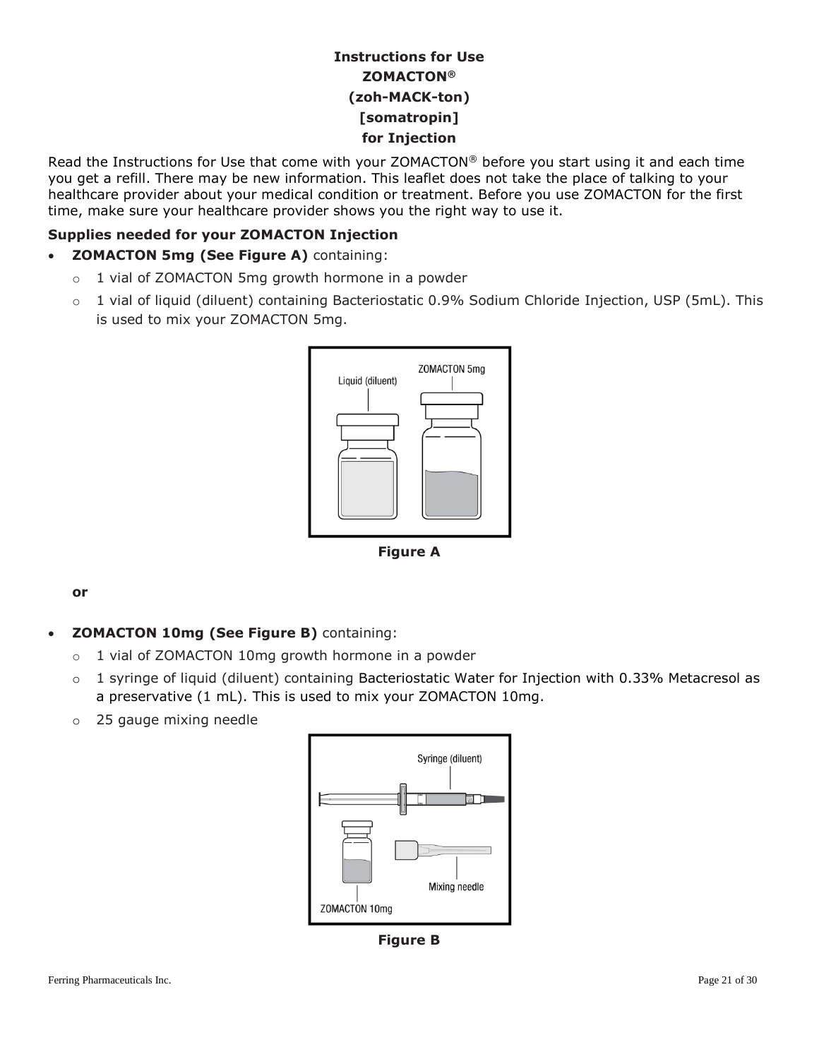# **Instructions for Use ZOMACTON® (zoh-MACK-ton) [somatropin] for Injection**

Read the Instructions for Use that come with your ZOMACTON® before you start using it and each time you get a refill. There may be new information. This leaflet does not take the place of talking to your healthcare provider about your medical condition or treatment. Before you use ZOMACTON for the first time, make sure your healthcare provider shows you the right way to use it.

# **Supplies needed for your ZOMACTON Injection**

- **ZOMACTON 5mg (See Figure A)** containing:
	- o 1 vial of ZOMACTON 5mg growth hormone in a powder
	- o 1 vial of liquid (diluent) containing Bacteriostatic 0.9% Sodium Chloride Injection, USP (5mL). This is used to mix your ZOMACTON 5mg.



**Figure A**

I

**or**

- **ZOMACTON 10mg (See Figure B)** containing:
	- o 1 vial of ZOMACTON 10mg growth hormone in a powder
	- $\circ$  1 syringe of liquid (diluent) containing Bacteriostatic Water for Injection with 0.33% Metacresol as a preservative (1 mL). This is used to mix your ZOMACTON 10mg.
	- o 25 gauge mixing needle



**Figure B**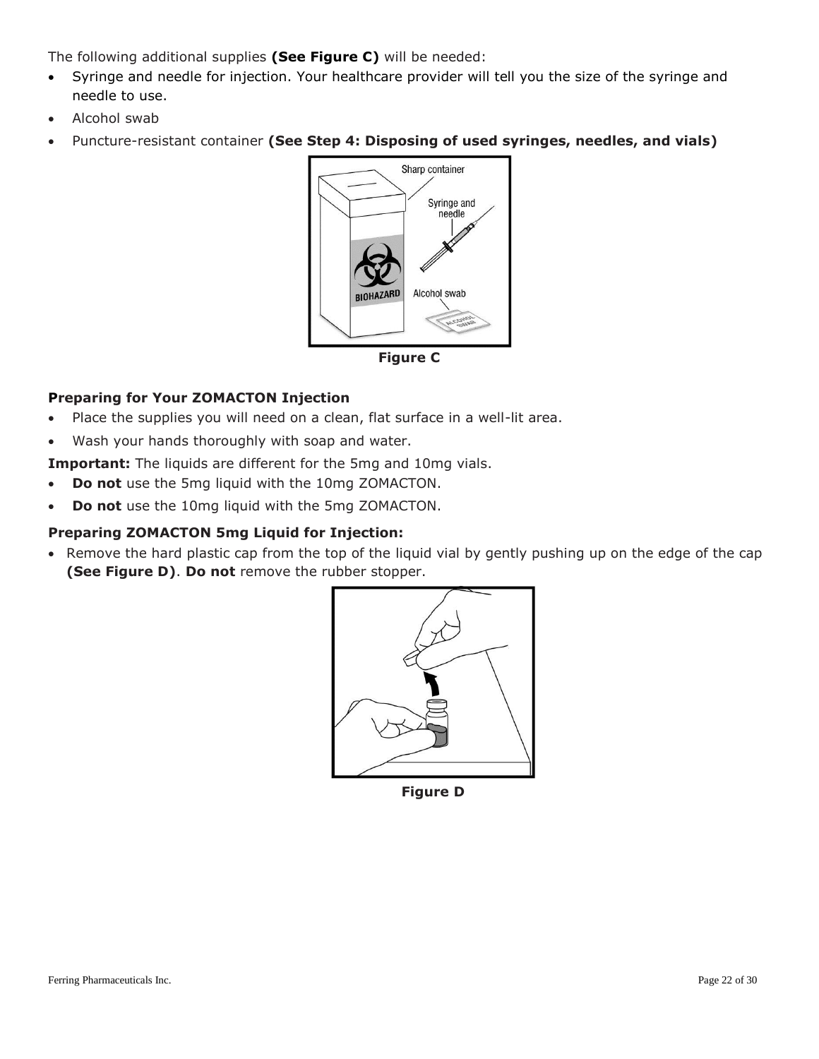The following additional supplies **(See Figure C)** will be needed:

- Syringe and needle for injection. Your healthcare provider will tell you the size of the syringe and needle to use.
- Alcohol swab
- Puncture-resistant container **(See Step 4: Disposing of used syringes, needles, and vials)**



**Figure C**

# **Preparing for Your ZOMACTON Injection**

- Place the supplies you will need on a clean, flat surface in a well-lit area.
- Wash your hands thoroughly with soap and water.

**Important:** The liquids are different for the 5mg and 10mg vials.

- **Do not** use the 5mg liquid with the 10mg ZOMACTON.
- **Do not** use the 10mg liquid with the 5mg ZOMACTON.

# **Preparing ZOMACTON 5mg Liquid for Injection:**

• Remove the hard plastic cap from the top of the liquid vial by gently pushing up on the edge of the cap **(See Figure D)**. **Do not** remove the rubber stopper.



**Figure D**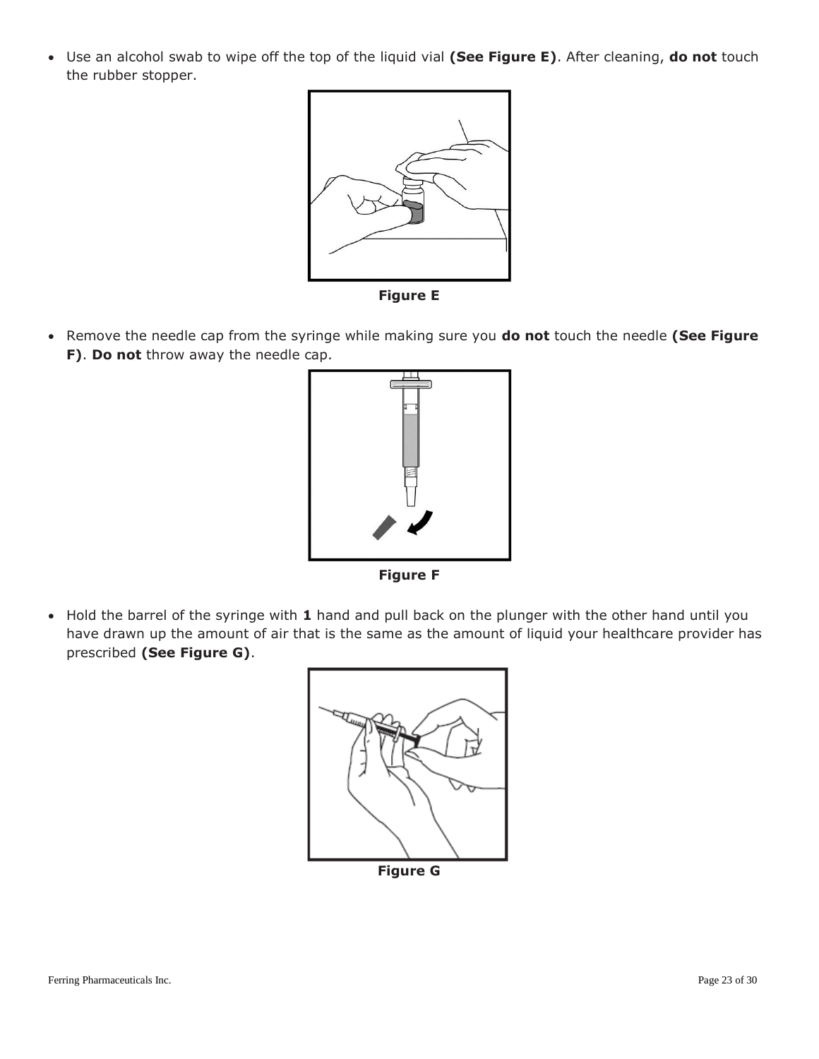Use an alcohol swab to wipe off the top of the liquid vial **(See Figure E)**. After cleaning, **do not** touch the rubber stopper.



**Figure E**

 Remove the needle cap from the syringe while making sure you **do not** touch the needle **(See Figure F)**. **Do not** throw away the needle cap.



**Figure F**

 Hold the barrel of the syringe with **1** hand and pull back on the plunger with the other hand until you have drawn up the amount of air that is the same as the amount of liquid your healthcare provider has prescribed **(See Figure G)**.



**Figure G**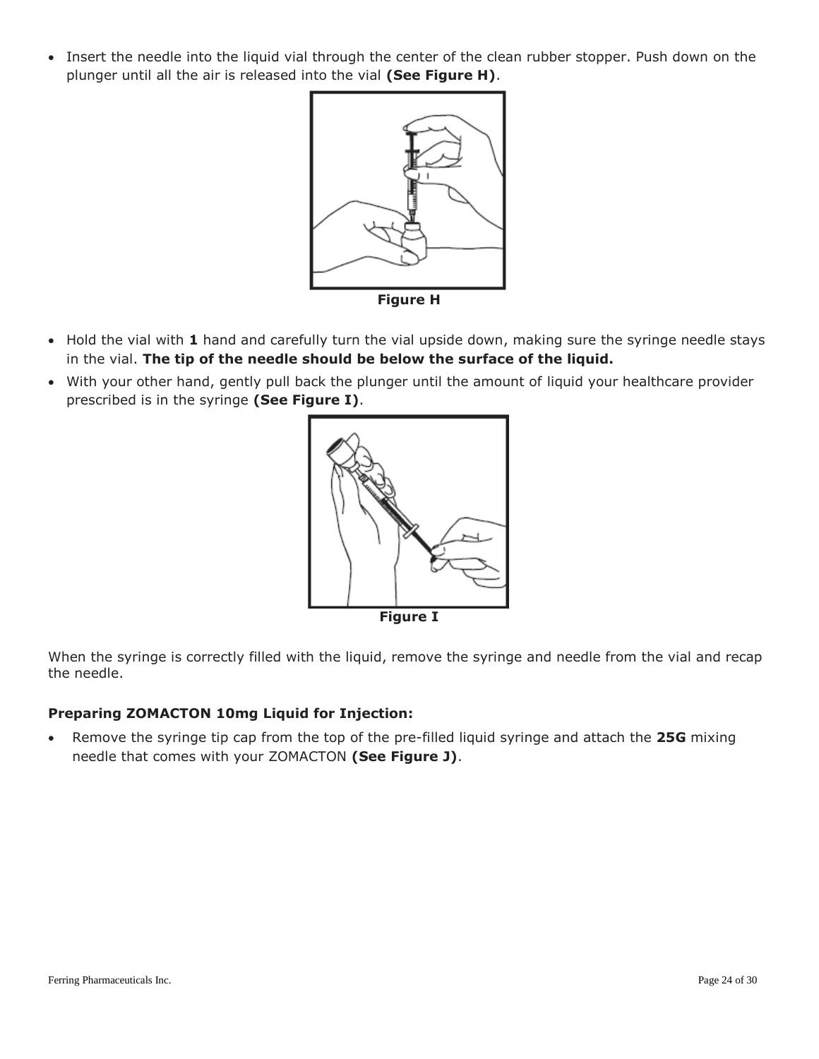• Insert the needle into the liquid vial through the center of the clean rubber stopper. Push down on the plunger until all the air is released into the vial **(See Figure H)**.



**Figure H**

- Hold the vial with 1 hand and carefully turn the vial upside down, making sure the syringe needle stays in the vial. **The tip of the needle should be below the surface of the liquid.**
- With your other hand, gently pull back the plunger until the amount of liquid your healthcare provider prescribed is in the syringe **(See Figure I)**.



When the syringe is correctly filled with the liquid, remove the syringe and needle from the vial and recap the needle.

# **Preparing ZOMACTON 10mg Liquid for Injection:**

 Remove the syringe tip cap from the top of the pre-filled liquid syringe and attach the **25G** mixing needle that comes with your ZOMACTON **(See Figure J)**.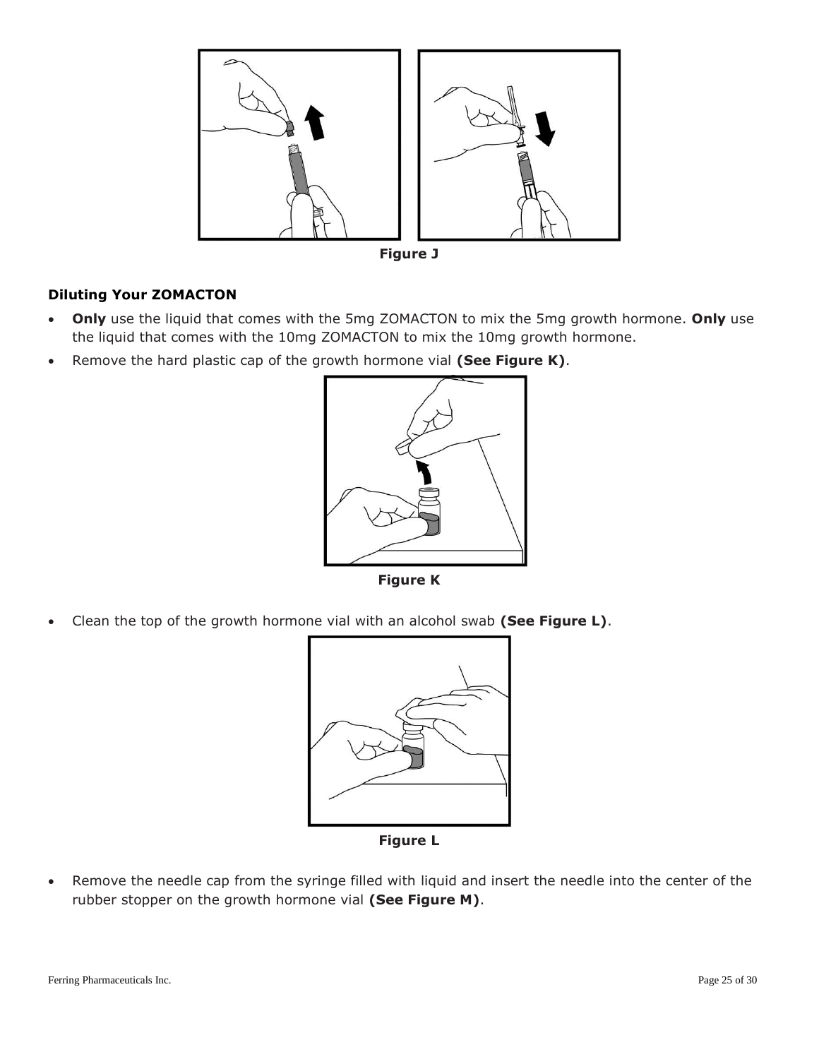

**Figure J**

# **Diluting Your ZOMACTON**

- **Only** use the liquid that comes with the 5mg ZOMACTON to mix the 5mg growth hormone. **Only** use the liquid that comes with the 10mg ZOMACTON to mix the 10mg growth hormone.
- Remove the hard plastic cap of the growth hormone vial **(See Figure K)**.



**Figure K**

Clean the top of the growth hormone vial with an alcohol swab **(See Figure L)**.



**Figure L**

 Remove the needle cap from the syringe filled with liquid and insert the needle into the center of the rubber stopper on the growth hormone vial **(See Figure M)**.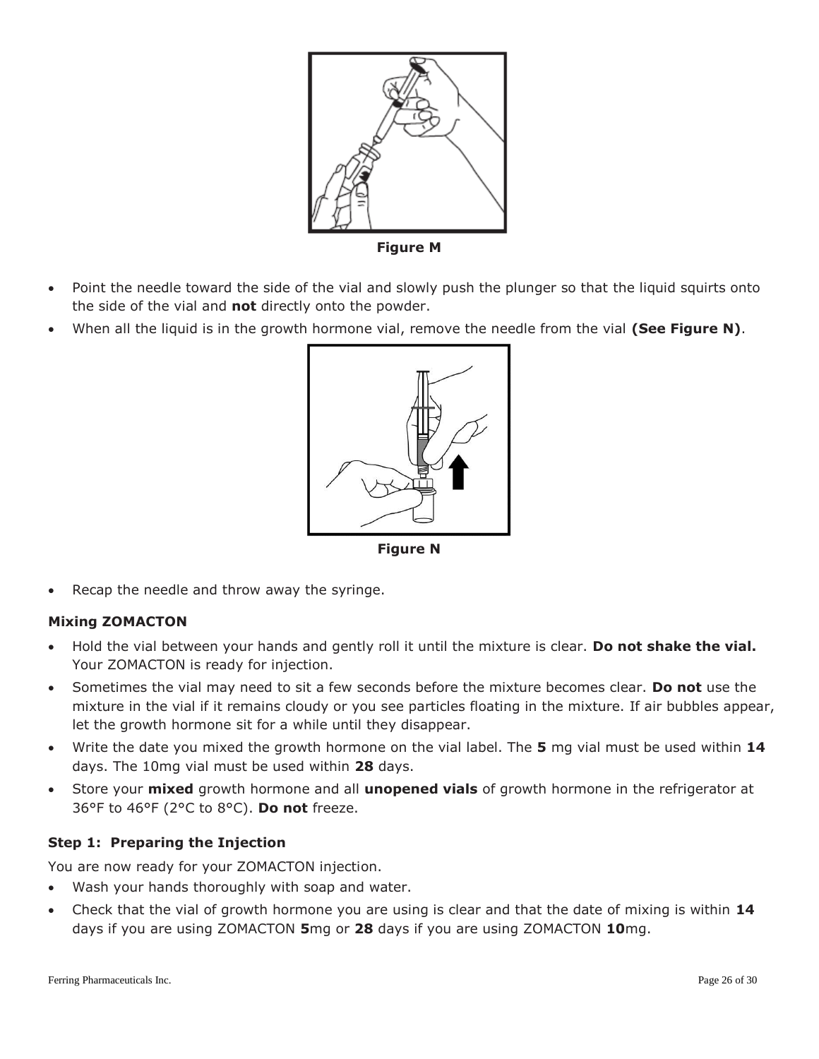

**Figure M**

- Point the needle toward the side of the vial and slowly push the plunger so that the liquid squirts onto the side of the vial and **not** directly onto the powder.
- When all the liquid is in the growth hormone vial, remove the needle from the vial **(See Figure N)**.



**Figure N**

Recap the needle and throw away the syringe.

# **Mixing ZOMACTON**

- Hold the vial between your hands and gently roll it until the mixture is clear. **Do not shake the vial.** Your ZOMACTON is ready for injection.
- Sometimes the vial may need to sit a few seconds before the mixture becomes clear. **Do not** use the mixture in the vial if it remains cloudy or you see particles floating in the mixture. If air bubbles appear, let the growth hormone sit for a while until they disappear.
- Write the date you mixed the growth hormone on the vial label. The **5** mg vial must be used within **14** days. The 10mg vial must be used within **28** days.
- Store your **mixed** growth hormone and all **unopened vials** of growth hormone in the refrigerator at 36°F to 46°F (2°C to 8°C). **Do not** freeze.

## **Step 1: Preparing the Injection**

You are now ready for your ZOMACTON injection.

- Wash your hands thoroughly with soap and water.
- Check that the vial of growth hormone you are using is clear and that the date of mixing is within **14** days if you are using ZOMACTON **5**mg or **28** days if you are using ZOMACTON **10**mg.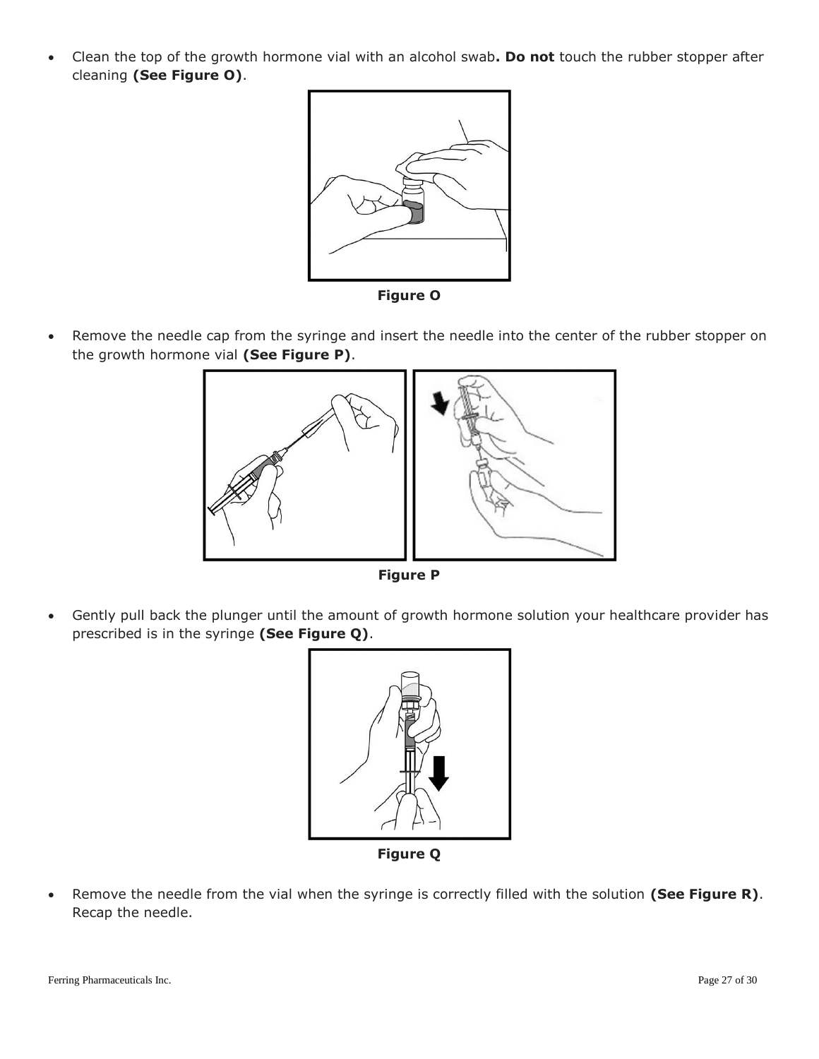Clean the top of the growth hormone vial with an alcohol swab**. Do not** touch the rubber stopper after cleaning **(See Figure O)**.



**Figure O**

 Remove the needle cap from the syringe and insert the needle into the center of the rubber stopper on the growth hormone vial **(See Figure P)**.



 Gently pull back the plunger until the amount of growth hormone solution your healthcare provider has prescribed is in the syringe **(See Figure Q)**.



**Figure Q**

 Remove the needle from the vial when the syringe is correctly filled with the solution **(See Figure R)**. Recap the needle.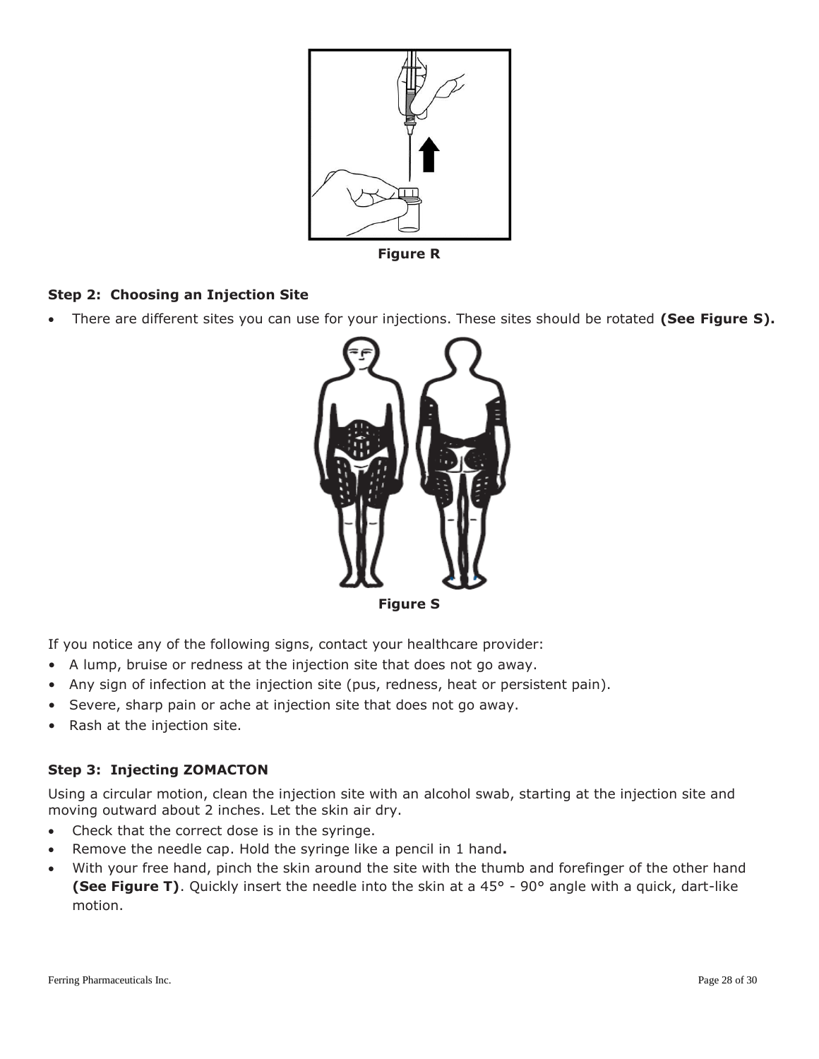

**Figure R**

# **Step 2: Choosing an Injection Site**

There are different sites you can use for your injections. These sites should be rotated **(See Figure S).**



If you notice any of the following signs, contact your healthcare provider:

- A lump, bruise or redness at the injection site that does not go away.
- Any sign of infection at the injection site (pus, redness, heat or persistent pain).
- Severe, sharp pain or ache at injection site that does not go away.
- Rash at the injection site.

## **Step 3: Injecting ZOMACTON**

Using a circular motion, clean the injection site with an alcohol swab, starting at the injection site and moving outward about 2 inches. Let the skin air dry.

- Check that the correct dose is in the syringe.
- Remove the needle cap. Hold the syringe like a pencil in 1 hand**.**
- With your free hand, pinch the skin around the site with the thumb and forefinger of the other hand **(See Figure T)**. Quickly insert the needle into the skin at a 45° - 90° angle with a quick, dart-like motion.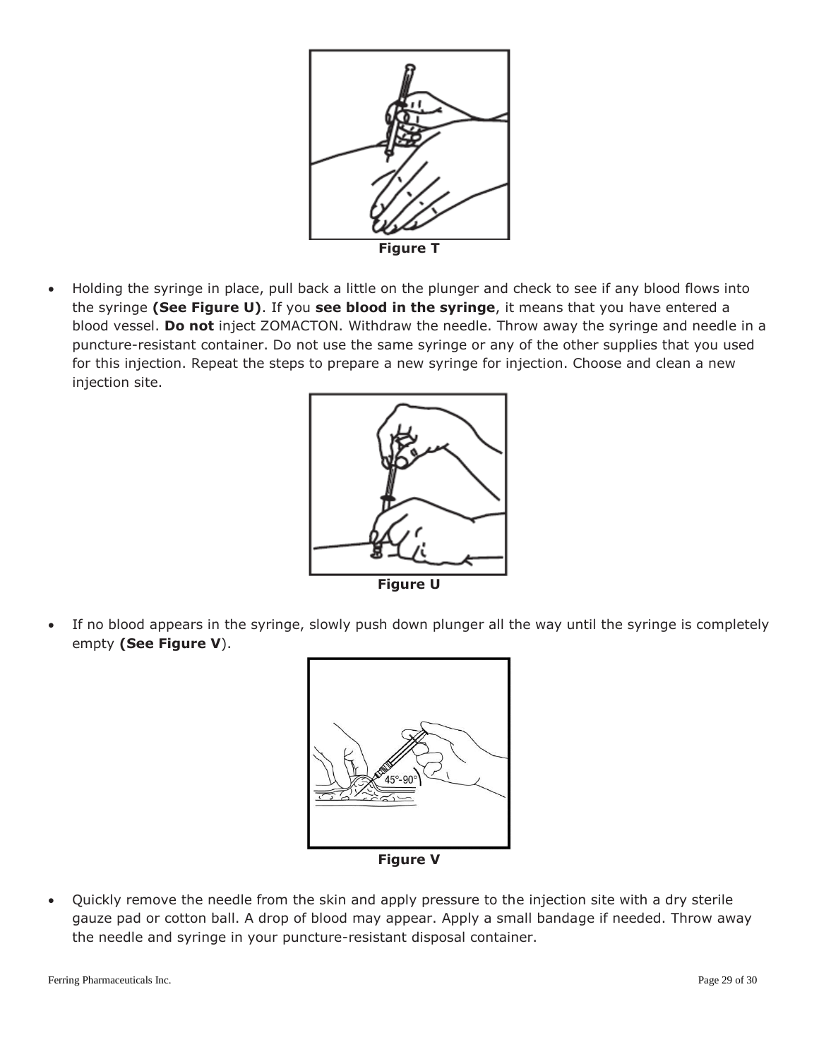

 Holding the syringe in place, pull back a little on the plunger and check to see if any blood flows into the syringe **(See Figure U)**. If you **see blood in the syringe**, it means that you have entered a blood vessel. **Do not** inject ZOMACTON. Withdraw the needle. Throw away the syringe and needle in a puncture-resistant container. Do not use the same syringe or any of the other supplies that you used for this injection. Repeat the steps to prepare a new syringe for injection. Choose and clean a new injection site.



 If no blood appears in the syringe, slowly push down plunger all the way until the syringe is completely empty **(See Figure V**).



**Figure V**

 Quickly remove the needle from the skin and apply pressure to the injection site with a dry sterile gauze pad or cotton ball. A drop of blood may appear. Apply a small bandage if needed. Throw away the needle and syringe in your puncture-resistant disposal container.